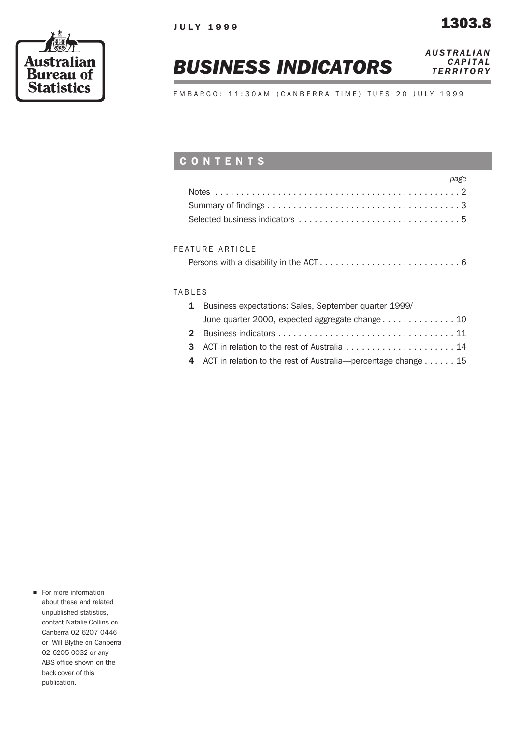

# JULY 1999 2303.8

# *BUSINESS INDICATORS*

*AUSTRALIAN CAPITAL TERRITORY*

EMBARGO: 11:30AM (CANBERRA TIME) TUES 20 JULY 1999

# CONTENTS

| page |  |
|------|--|
|      |  |
|      |  |
|      |  |

## FEATURE ARTICLE

|--|

## TABLES

| 1 Business expectations: Sales, September quarter 1999/         |
|-----------------------------------------------------------------|
| June quarter 2000, expected aggregate change 10                 |
|                                                                 |
|                                                                 |
| 4 ACT in relation to the rest of Australia—percentage change 15 |
|                                                                 |

**n** For more information about these and related unpublished statistics, contact Natalie Collins on Canberra 02 6207 0446 or Will Blythe on Canberra 02 6205 0032 or any ABS office shown on the back cover of this publication.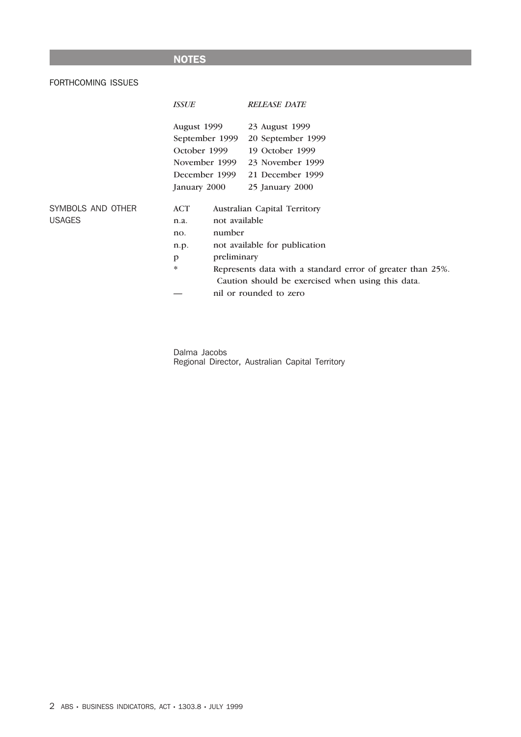# NOTES

## FORTHCOMING ISSUES

|                   | <i><b>ISSUE</b></i> | <b>RELEASE DATE</b>                                        |  |  |  |  |  |
|-------------------|---------------------|------------------------------------------------------------|--|--|--|--|--|
|                   | August 1999         | 23 August 1999                                             |  |  |  |  |  |
|                   | September 1999      | 20 September 1999                                          |  |  |  |  |  |
|                   | October 1999        | 19 October 1999                                            |  |  |  |  |  |
|                   | November 1999       | 23 November 1999                                           |  |  |  |  |  |
|                   | December 1999       | 21 December 1999                                           |  |  |  |  |  |
|                   | January 2000        | 25 January 2000                                            |  |  |  |  |  |
| SYMBOLS AND OTHER | <b>ACT</b>          | <b>Australian Capital Territory</b>                        |  |  |  |  |  |
| <b>USAGES</b>     | n.a.                | not available                                              |  |  |  |  |  |
|                   | no.                 | number                                                     |  |  |  |  |  |
|                   | n.p.                | not available for publication                              |  |  |  |  |  |
|                   | p                   | preliminary                                                |  |  |  |  |  |
|                   | *                   | Represents data with a standard error of greater than 25%. |  |  |  |  |  |
|                   |                     | Caution should be exercised when using this data.          |  |  |  |  |  |
|                   |                     | nil or rounded to zero                                     |  |  |  |  |  |

Dalma Jacobs Regional Director, Australian Capital Territory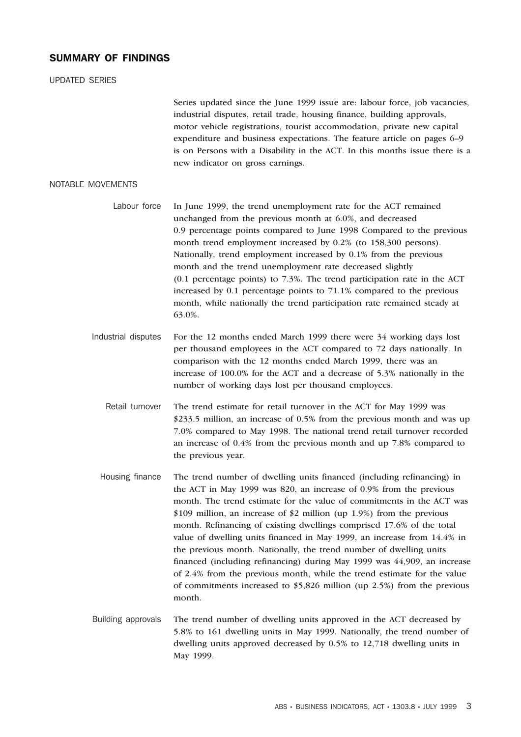## SUMMARY OF FINDINGS

UPDATED SERIES

Series updated since the June 1999 issue are: labour force, job vacancies, industrial disputes, retail trade, housing finance, building approvals, motor vehicle registrations, tourist accommodation, private new capital expenditure and business expectations. The feature article on pages 6–9 is on Persons with a Disability in the ACT. In this months issue there is a new indicator on gross earnings.

#### NOTABLE MOVEMENTS

Labour force In June 1999, the trend unemployment rate for the ACT remained unchanged from the previous month at 6.0%, and decreased 0.9 percentage points compared to June 1998 Compared to the previous month trend employment increased by 0.2% (to 158,300 persons). Nationally, trend employment increased by 0.1% from the previous month and the trend unemployment rate decreased slightly (0.1 percentage points) to 7.3%. The trend participation rate in the ACT increased by 0.1 percentage points to 71.1% compared to the previous month, while nationally the trend participation rate remained steady at 63.0%.

- Industrial disputes For the 12 months ended March 1999 there were 34 working days lost per thousand employees in the ACT compared to 72 days nationally. In comparison with the 12 months ended March 1999, there was an increase of 100.0% for the ACT and a decrease of 5.3% nationally in the number of working days lost per thousand employees.
	- Retail turnover The trend estimate for retail turnover in the ACT for May 1999 was \$233.5 million, an increase of 0.5% from the previous month and was up 7.0% compared to May 1998. The national trend retail turnover recorded an increase of 0.4% from the previous month and up 7.8% compared to the previous year.
	- Housing finance The trend number of dwelling units financed (including refinancing) in the ACT in May 1999 was 820, an increase of 0.9% from the previous month. The trend estimate for the value of commitments in the ACT was \$109 million, an increase of \$2 million (up 1.9%) from the previous month. Refinancing of existing dwellings comprised 17.6% of the total value of dwelling units financed in May 1999, an increase from 14.4% in the previous month. Nationally, the trend number of dwelling units financed (including refinancing) during May 1999 was 44,909, an increase of 2.4% from the previous month, while the trend estimate for the value of commitments increased to \$5,826 million (up 2.5%) from the previous month.
- Building approvals The trend number of dwelling units approved in the ACT decreased by 5.8% to 161 dwelling units in May 1999. Nationally, the trend number of dwelling units approved decreased by 0.5% to 12,718 dwelling units in May 1999.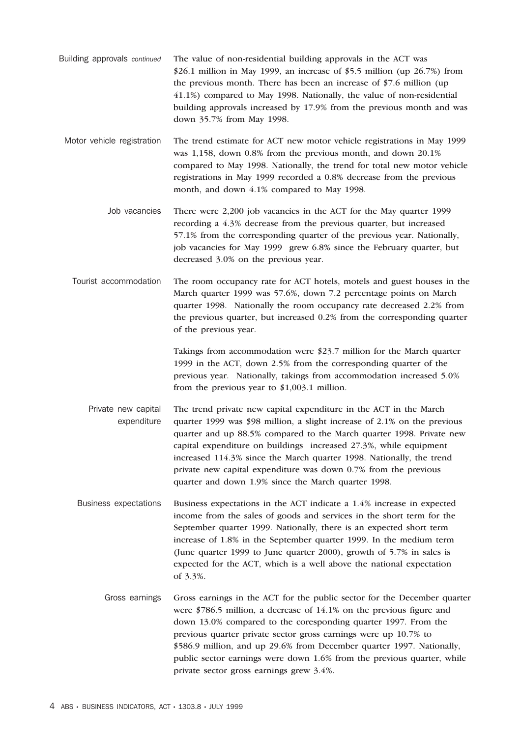- Building approvals *continued* The value of non-residential building approvals in the ACT was \$26.1 million in May 1999, an increase of \$5.5 million (up 26.7%) from the previous month. There has been an increase of \$7.6 million (up 41.1%) compared to May 1998. Nationally, the value of non-residential building approvals increased by 17.9% from the previous month and was down 35.7% from May 1998.
- Motor vehicle registration The trend estimate for ACT new motor vehicle registrations in May 1999 was 1,158, down 0.8% from the previous month, and down 20.1% compared to May 1998. Nationally, the trend for total new motor vehicle registrations in May 1999 recorded a 0.8% decrease from the previous month, and down 4.1% compared to May 1998.
	- Job vacancies There were 2,200 job vacancies in the ACT for the May quarter 1999 recording a 4.3% decrease from the previous quarter, but increased 57.1% from the corresponding quarter of the previous year. Nationally, job vacancies for May 1999 grew 6.8% since the February quarter, but decreased 3.0% on the previous year.
	- Tourist accommodation The room occupancy rate for ACT hotels, motels and guest houses in the March quarter 1999 was 57.6%, down 7.2 percentage points on March quarter 1998. Nationally the room occupancy rate decreased 2.2% from the previous quarter, but increased 0.2% from the corresponding quarter of the previous year.

Takings from accommodation were \$23.7 million for the March quarter 1999 in the ACT, down 2.5% from the corresponding quarter of the previous year. Nationally, takings from accommodation increased 5.0% from the previous year to \$1,003.1 million.

- Private new capital expenditure The trend private new capital expenditure in the ACT in the March quarter 1999 was \$98 million, a slight increase of 2.1% on the previous quarter and up 88.5% compared to the March quarter 1998. Private new capital expenditure on buildings increased 27.3%, while equipment increased 114.3% since the March quarter 1998. Nationally, the trend private new capital expenditure was down 0.7% from the previous quarter and down 1.9% since the March quarter 1998.
- Business expectations Business expectations in the ACT indicate a 1.4% increase in expected income from the sales of goods and services in the short term for the September quarter 1999. Nationally, there is an expected short term increase of 1.8% in the September quarter 1999. In the medium term (June quarter 1999 to June quarter 2000), growth of 5.7% in sales is expected for the ACT, which is a well above the national expectation of 3.3%.
	- Gross earnings Gross earnings in the ACT for the public sector for the December quarter were \$786.5 million, a decrease of 14.1% on the previous figure and down 13.0% compared to the coresponding quarter 1997. From the previous quarter private sector gross earnings were up 10.7% to \$586.9 million, and up 29.6% from December quarter 1997. Nationally, public sector earnings were down 1.6% from the previous quarter, while private sector gross earnings grew 3.4%.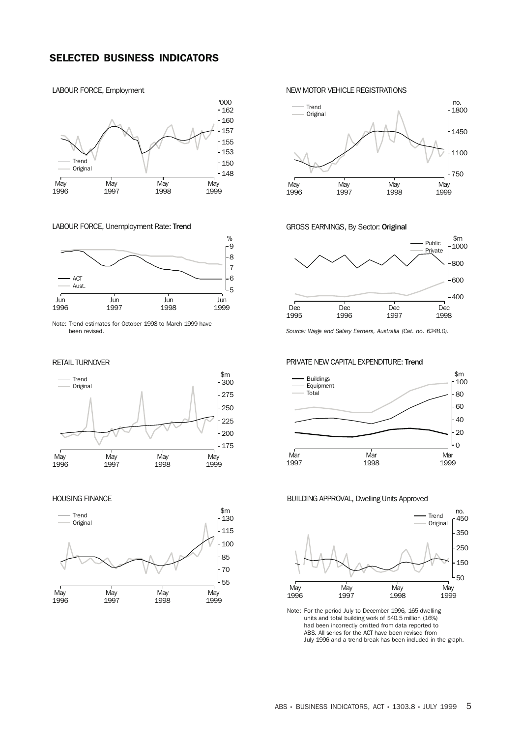## SELECTED BUSINESS INDICATORS

#### LABOUR FORCE, Employment



#### LABOUR FORCE, Unemployment Rate: Trend



Note: Trend estimates for October 1998 to March 1999 have been revised.

RETAIL TURNOVER



#### HOUSING FINANCE



#### NEW MOTOR VEHICLE REGISTRATIONS



GROSS EARNINGS, By Sector: Original



*Source: Wage and Salary Earners, Australia (Cat. no. 6248.0).*

#### PRIVATE NEW CAPITAL EXPENDITURE: Trend



#### BUILDING APPROVAL, Dwelling Units Approved



Note: For the period July to December 1996, 165 dwelling units and total building work of \$40.5 million (16%) had been incorrectly omitted from data reported to ABS. All series for the ACT have been revised from July 1996 and a trend break has been included in the graph.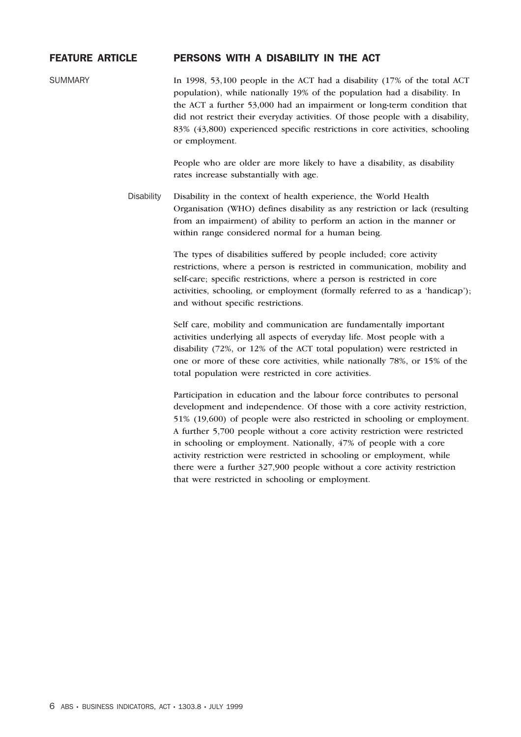## FEATURE ARTICLE PERSONS WITH A DISABILITY IN THE ACT

SUMMARY In 1998, 53,100 people in the ACT had a disability (17% of the total ACT population), while nationally 19% of the population had a disability. In the ACT a further 53,000 had an impairment or long-term condition that did not restrict their everyday activities. Of those people with a disability, 83% (43,800) experienced specific restrictions in core activities, schooling or employment.

> People who are older are more likely to have a disability, as disability rates increase substantially with age.

Disability Disability in the context of health experience, the World Health Organisation (WHO) defines disability as any restriction or lack (resulting from an impairment) of ability to perform an action in the manner or within range considered normal for a human being.

> The types of disabilities suffered by people included; core activity restrictions, where a person is restricted in communication, mobility and self-care; specific restrictions, where a person is restricted in core activities, schooling, or employment (formally referred to as a 'handicap'); and without specific restrictions.

Self care, mobility and communication are fundamentally important activities underlying all aspects of everyday life. Most people with a disability (72%, or 12% of the ACT total population) were restricted in one or more of these core activities, while nationally 78%, or 15% of the total population were restricted in core activities.

Participation in education and the labour force contributes to personal development and independence. Of those with a core activity restriction, 51% (19,600) of people were also restricted in schooling or employment. A further 5,700 people without a core activity restriction were restricted in schooling or employment. Nationally, 47% of people with a core activity restriction were restricted in schooling or employment, while there were a further 327,900 people without a core activity restriction that were restricted in schooling or employment.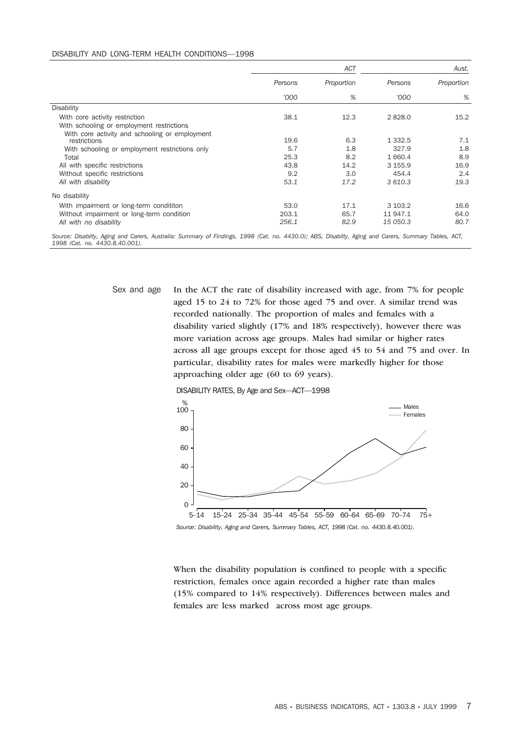#### DISABILITY AND LONG-TERM HEALTH CONDITIONS—1998

|                                                                                                                               |         | ACT        |             | Aust.      |
|-------------------------------------------------------------------------------------------------------------------------------|---------|------------|-------------|------------|
|                                                                                                                               | Persons | Proportion | Persons     | Proportion |
|                                                                                                                               | '000    | %          | '000        | %          |
| <b>Disability</b>                                                                                                             |         |            |             |            |
| With core activity restriction<br>With schooling or employment restrictions<br>With core activity and schooling or employment | 38.1    | 12.3       | 2828.0      | 15.2       |
| restrictions                                                                                                                  | 19.6    | 6.3        | 1 3 3 2.5   | 7.1        |
| With schooling or employment restrictions only                                                                                | 5.7     | 1.8        | 327.9       | 1.8        |
| Total                                                                                                                         | 25.3    | 8.2        | 1 660.4     | 8.9        |
| All with specific restrictions                                                                                                | 43.8    | 14.2       | 3 1 5 5 . 9 | 16.9       |
| Without specific restrictions                                                                                                 | 9.2     | 3.0        | 454.4       | 2.4        |
| All with disability                                                                                                           | 53.1    | 17.2       | 3 610.3     | 19.3       |
| No disability                                                                                                                 |         |            |             |            |
| With impairment or long-term condititon                                                                                       | 53.0    | 17.1       | 3 103.2     | 16.6       |
| Without impairment or long-term condition                                                                                     | 203.1   | 65.7       | 11 947.1    | 64.0       |
| All with no disability                                                                                                        | 256.1   | 82.9       | 15 050.3    | 80.7       |
|                                                                                                                               |         |            |             |            |

*Source: Disabilty, Aging and Carers, Australia: Summary of Findings, 1998 (Cat. no. 4430.0); ABS, Disabilty, Aging and Carers, Summary Tables, ACT, 1998 (Cat. no. 4430.8.40.001).*

Sex and age In the ACT the rate of disability increased with age, from 7% for people aged 15 to 24 to 72% for those aged 75 and over. A similar trend was recorded nationally. The proportion of males and females with a disability varied slightly (17% and 18% respectively), however there was more variation across age groups. Males had similar or higher rates across all age groups except for those aged 45 to 54 and 75 and over. In particular, disability rates for males were markedly higher for those approaching older age (60 to 69 years).

DISABILITY RATES, By Age and Sex—ACT—1998



*Source: Disability, Aging and Carers, Summary Tables, ACT, 1998 (Cat. no. 4430.8.40.001).*

When the disability population is confined to people with a specific restriction, females once again recorded a higher rate than males (15% compared to 14% respectively). Differences between males and females are less marked across most age groups.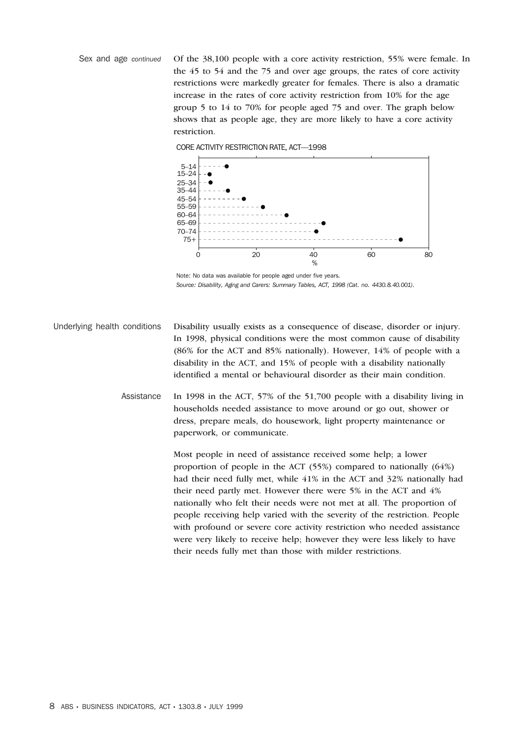Sex and age *continued* Of the 38,100 people with a core activity restriction, 55% were female. In the 45 to 54 and the 75 and over age groups, the rates of core activity restrictions were markedly greater for females. There is also a dramatic increase in the rates of core activity restriction from 10% for the age group 5 to 14 to 70% for people aged 75 and over. The graph below shows that as people age, they are more likely to have a core activity restriction.

CORE ACTIVITY RESTRICTION RATE, ACT—1998



Note: No data was available for people aged under five years. *Source: Disability, Aging and Carers: Summary Tables, ACT, 1998 (Cat. no. 4430.8.40.001).*

Underlying health conditions Disability usually exists as a consequence of disease, disorder or injury. In 1998, physical conditions were the most common cause of disability (86% for the ACT and 85% nationally). However, 14% of people with a disability in the ACT, and 15% of people with a disability nationally identified a mental or behavioural disorder as their main condition.

> Assistance In 1998 in the ACT, 57% of the 51,700 people with a disability living in households needed assistance to move around or go out, shower or dress, prepare meals, do housework, light property maintenance or paperwork, or communicate.

> > Most people in need of assistance received some help; a lower proportion of people in the ACT (55%) compared to nationally (64%) had their need fully met, while 41% in the ACT and 32% nationally had their need partly met. However there were 5% in the ACT and 4% nationally who felt their needs were not met at all. The proportion of people receiving help varied with the severity of the restriction. People with profound or severe core activity restriction who needed assistance were very likely to receive help; however they were less likely to have their needs fully met than those with milder restrictions.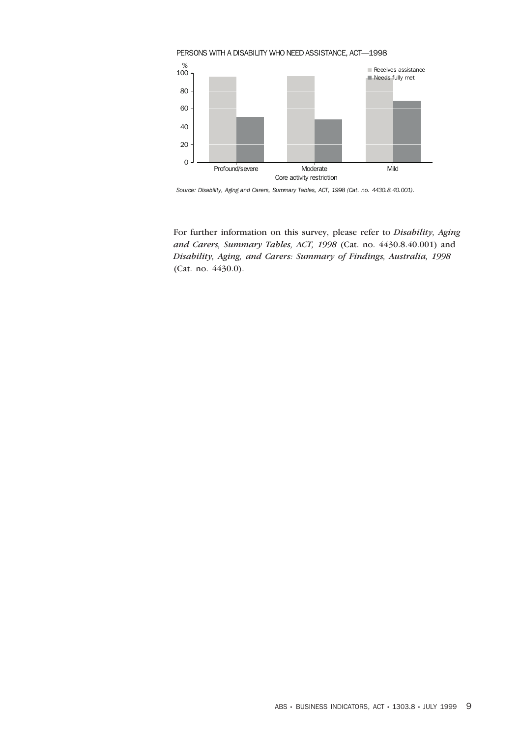

*Source: Disability, Aging and Carers, Summary Tables, ACT, 1998 (Cat. no. 4430.8.40.001).*

For further information on this survey, please refer to *Disability, Aging and Carers, Summary Tables, ACT, 1998* (Cat. no. 4430.8.40.001) and *Disability, Aging, and Carers: Summary of Findings, Australia, 1998* (Cat. no. 4430.0).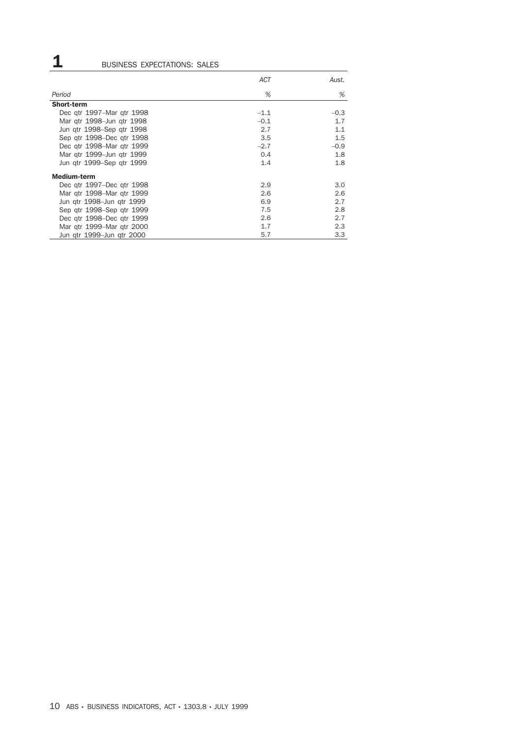# 1 BUSINESS EXPECTATIONS: SALES

|                           | <b>ACT</b> | Aust.  |
|---------------------------|------------|--------|
| Period                    | %          | %      |
| <b>Short-term</b>         |            |        |
| Dec gtr 1997–Mar gtr 1998 | $-1.1$     | $-0.3$ |
| Mar gtr 1998-Jun gtr 1998 | $-0.1$     | 1.7    |
| Jun atr 1998–Sep atr 1998 | 2.7        | 1.1    |
| Sep gtr 1998–Dec gtr 1998 | 3.5        | 1.5    |
| Dec gtr 1998–Mar gtr 1999 | $-2.7$     | $-0.9$ |
| Mar gtr 1999-Jun gtr 1999 | 0.4        | 1.8    |
| Jun atr 1999–Sep atr 1999 | 1.4        | 1.8    |
| <b>Medium-term</b>        |            |        |
| Dec qtr 1997–Dec qtr 1998 | 2.9        | 3.0    |
| Mar gtr 1998–Mar gtr 1999 | 2.6        | 2.6    |
| Jun gtr 1998–Jun gtr 1999 | 6.9        | 2.7    |
| Sep gtr 1998–Sep gtr 1999 | 7.5        | 2.8    |
| Dec atr 1998-Dec atr 1999 | 2.6        | 2.7    |
| Mar gtr 1999–Mar gtr 2000 | 1.7        | 2.3    |
| Jun gtr 1999-Jun gtr 2000 | 5.7        | 3.3    |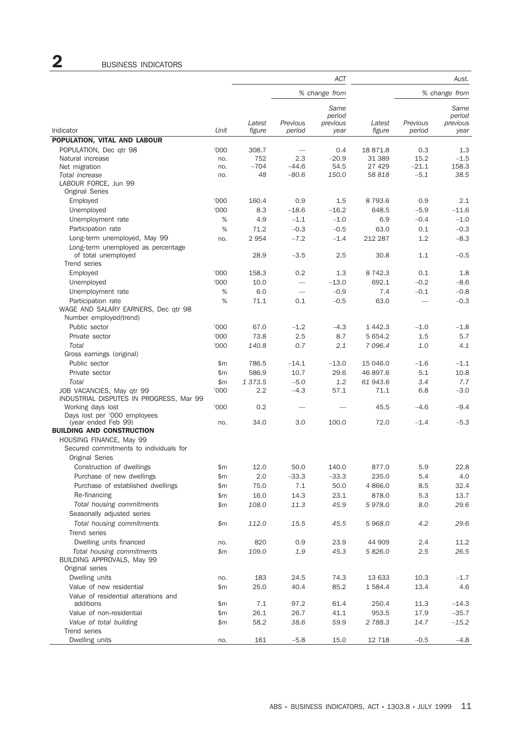# 2 BUSINESS INDICATORS

| % change from<br>% change from<br>Same<br>Same<br>period<br>period<br>Previous<br>previous<br>Previous<br>previous<br>Latest<br>Latest<br>Unit<br>Indicator<br>figure<br>period<br>figure<br>period<br>year<br>year<br>POPULATION, VITAL AND LABOUR<br>POPULATION, Dec qtr 98<br>'000<br>308.7<br>0.4<br>18871.8<br>0.3<br>1.3<br>752<br>2.3<br>$-20.9$<br>31 389<br>15.2<br>$-1.5$<br>Natural increase<br>no.<br>Net migration<br>$-704$<br>$-44.6$<br>54.5<br>27 4 29<br>$-21.1$<br>158.3<br>no.<br>48<br>$-80.6$<br>150.0<br>58 818<br>$-5.1$<br>38.5<br>Total increase<br>no.<br>LABOUR FORCE, Jun 99<br>Original Series<br>Employed<br>'000<br>160.4<br>0.9<br>1.5<br>8 7 9 3.6<br>0.9<br>2.1<br>'000<br>$-18.6$<br>$-16.2$<br>$-5.9$<br>$-11.6$<br>Unemployed<br>8.3<br>648.5<br>Unemployment rate<br>$\%$<br>$-1.1$<br>$-1.0$<br>6.9<br>$-0.4$<br>$-1.0$<br>4.9<br>%<br>$-0.3$<br>$-0.5$<br>0.1<br>$-0.3$<br>Participation rate<br>71.2<br>63.0<br>$-7.2$<br>1.2<br>$-8.3$<br>Long-term unemployed, May 99<br>2 954<br>$-1.4$<br>212 287<br>no.<br>Long-term unemployed as percentage<br>1.1<br>of total unemployed<br>28.9<br>$-3.5$<br>2.5<br>$-0.5$<br>30.8<br>Trend series<br>Employed<br>'000<br>158.3<br>0.2<br>1.3<br>8 7 4 2.3<br>0.1<br>1.8<br>Unemployed<br>$-13.0$<br>692.1<br>$-0.2$<br>$-8.6$<br>'000<br>10.0<br>%<br>6.0<br>$-0.9$<br>7.4<br>$-0.1$<br>$-0.8$<br>Unemployment rate<br>Participation rate<br>%<br>71.1<br>$-0.3$<br>0.1<br>$-0.5$<br>63.0<br>WAGE AND SALARY EARNERS, Dec qtr 98<br>Number employed(trend)<br>Public sector<br>'000<br>67.0<br>$-1.2$<br>$-4.3$<br>1 4 4 2.3<br>$-1.0$<br>$-1.8$<br>Private sector<br>'000<br>73.8<br>2.5<br>1.5<br>5.7<br>8.7<br>5 654.2<br>'000<br>0.7<br>2.1<br>1.0<br>4.1<br>Total<br>140.8<br>7 0 9 6.4<br>Gross earnings (original)<br>Public sector<br>786.5<br>$-14.1$<br>$-13.0$<br>$-1.6$<br>$-1.1$<br>\$m<br>15 046.0<br>Private sector<br>586.9<br>10.7<br>29.6<br>5.1<br>10.8<br>46 897.6<br>\$m<br>Total<br>1373.5<br>$-5.0$<br>1.2<br>3.4<br>7.7<br>\$m<br>61 943.6<br>2.2<br>$-4.3$<br>57.1<br>$-3.0$<br>'000<br>71.1<br>6.8<br>JOB VACANCIES, May qtr 99<br>INDUSTRIAL DISPUTES IN PROGRESS, Mar 99<br>'000<br>0.2<br>45.5<br>$-4.6$<br>$-9.4$<br>Working days lost<br>Days lost per '000 employees<br>$-5.3$<br>34.0<br>3.0<br>100.0<br>72.0<br>$-1.4$<br>(year ended Feb 99)<br>no.<br><b>BUILDING AND CONSTRUCTION</b><br>HOUSING FINANCE, May 99<br>Secured commitments to individuals for<br>Original Series<br>Construction of dwellings<br>\$m<br>12.0<br>50.0<br>140.0<br>877.0<br>5.9<br>22.8<br>Purchase of new dwellings<br>$-33.3$<br>4.0<br>\$m<br>2.0<br>$-33.3$<br>235.0<br>5.4<br>Purchase of established dwellings<br>75.0<br>7.1<br>50.0<br>4 8 66.0<br>8.5<br>\$m<br>32.4<br>14.3<br>23.1<br>878.0<br>5.3<br>13.7<br>Re-financing<br>\$m<br>16.0<br>Total housing commitments<br>11.3<br>45.9<br>5978.0<br>8.0<br>\$m<br>108.0<br>29.6<br>Seasonally adjusted series<br>Total housing commitments<br>4.2<br>\$m<br>112.0<br>15.5<br>45.5<br>5968.0<br>29.6<br>Trend series<br>Dwelling units financed<br>0.9<br>44 909<br>2.4<br>820<br>23.9<br>11.2<br>no.<br>Total housing commitments<br>1.9<br>2.5<br>26.5<br>109.0<br>45.3<br>5 826.0<br>\$m<br>BUILDING APPROVALS, May 99<br>Original series<br>Dwelling units<br>183<br>24.5<br>74.3<br>13 633<br>10.3<br>$-1.7$<br>no.<br>Value of new residential<br>40.4<br>13.4<br>25.0<br>85.2<br>1 584.4<br>4.6<br>\$m<br>Value of residential alterations and<br>7.1<br>97.2<br>61.4<br>250.4<br>11.3<br>additions<br>\$m<br>$-14.3$<br>Value of non-residential<br>26.1<br>26.7<br>41.1<br>953.5<br>17.9<br>$-35.7$<br>\$m<br>Value of total building<br>\$m<br>58.2<br>38.6<br>59.9<br>2 788.3<br>14.7<br>$-15.2$<br>Trend series<br>Dwelling units<br>161<br>$-5.8$<br>15.0<br>12 7 18<br>$-0.5$<br>$-4.8$<br>no. |  |  | ACT |  | Aust. |  |
|----------------------------------------------------------------------------------------------------------------------------------------------------------------------------------------------------------------------------------------------------------------------------------------------------------------------------------------------------------------------------------------------------------------------------------------------------------------------------------------------------------------------------------------------------------------------------------------------------------------------------------------------------------------------------------------------------------------------------------------------------------------------------------------------------------------------------------------------------------------------------------------------------------------------------------------------------------------------------------------------------------------------------------------------------------------------------------------------------------------------------------------------------------------------------------------------------------------------------------------------------------------------------------------------------------------------------------------------------------------------------------------------------------------------------------------------------------------------------------------------------------------------------------------------------------------------------------------------------------------------------------------------------------------------------------------------------------------------------------------------------------------------------------------------------------------------------------------------------------------------------------------------------------------------------------------------------------------------------------------------------------------------------------------------------------------------------------------------------------------------------------------------------------------------------------------------------------------------------------------------------------------------------------------------------------------------------------------------------------------------------------------------------------------------------------------------------------------------------------------------------------------------------------------------------------------------------------------------------------------------------------------------------------------------------------------------------------------------------------------------------------------------------------------------------------------------------------------------------------------------------------------------------------------------------------------------------------------------------------------------------------------------------------------------------------------------------------------------------------------------------------------------------------------------------------------------------------------------------------------------------------------------------------------------------------------------------------------------------------------------------------------------------------------------------------------------------------------------------------------------------------------------------------------------------------------------------------------------------------------------------------------------------------------------------------------------------------------------------------------------------------------------------------------------------------------------------------------------------------------------------|--|--|-----|--|-------|--|
|                                                                                                                                                                                                                                                                                                                                                                                                                                                                                                                                                                                                                                                                                                                                                                                                                                                                                                                                                                                                                                                                                                                                                                                                                                                                                                                                                                                                                                                                                                                                                                                                                                                                                                                                                                                                                                                                                                                                                                                                                                                                                                                                                                                                                                                                                                                                                                                                                                                                                                                                                                                                                                                                                                                                                                                                                                                                                                                                                                                                                                                                                                                                                                                                                                                                                                                                                                                                                                                                                                                                                                                                                                                                                                                                                                                                                                                                            |  |  |     |  |       |  |
|                                                                                                                                                                                                                                                                                                                                                                                                                                                                                                                                                                                                                                                                                                                                                                                                                                                                                                                                                                                                                                                                                                                                                                                                                                                                                                                                                                                                                                                                                                                                                                                                                                                                                                                                                                                                                                                                                                                                                                                                                                                                                                                                                                                                                                                                                                                                                                                                                                                                                                                                                                                                                                                                                                                                                                                                                                                                                                                                                                                                                                                                                                                                                                                                                                                                                                                                                                                                                                                                                                                                                                                                                                                                                                                                                                                                                                                                            |  |  |     |  |       |  |
|                                                                                                                                                                                                                                                                                                                                                                                                                                                                                                                                                                                                                                                                                                                                                                                                                                                                                                                                                                                                                                                                                                                                                                                                                                                                                                                                                                                                                                                                                                                                                                                                                                                                                                                                                                                                                                                                                                                                                                                                                                                                                                                                                                                                                                                                                                                                                                                                                                                                                                                                                                                                                                                                                                                                                                                                                                                                                                                                                                                                                                                                                                                                                                                                                                                                                                                                                                                                                                                                                                                                                                                                                                                                                                                                                                                                                                                                            |  |  |     |  |       |  |
|                                                                                                                                                                                                                                                                                                                                                                                                                                                                                                                                                                                                                                                                                                                                                                                                                                                                                                                                                                                                                                                                                                                                                                                                                                                                                                                                                                                                                                                                                                                                                                                                                                                                                                                                                                                                                                                                                                                                                                                                                                                                                                                                                                                                                                                                                                                                                                                                                                                                                                                                                                                                                                                                                                                                                                                                                                                                                                                                                                                                                                                                                                                                                                                                                                                                                                                                                                                                                                                                                                                                                                                                                                                                                                                                                                                                                                                                            |  |  |     |  |       |  |
|                                                                                                                                                                                                                                                                                                                                                                                                                                                                                                                                                                                                                                                                                                                                                                                                                                                                                                                                                                                                                                                                                                                                                                                                                                                                                                                                                                                                                                                                                                                                                                                                                                                                                                                                                                                                                                                                                                                                                                                                                                                                                                                                                                                                                                                                                                                                                                                                                                                                                                                                                                                                                                                                                                                                                                                                                                                                                                                                                                                                                                                                                                                                                                                                                                                                                                                                                                                                                                                                                                                                                                                                                                                                                                                                                                                                                                                                            |  |  |     |  |       |  |
|                                                                                                                                                                                                                                                                                                                                                                                                                                                                                                                                                                                                                                                                                                                                                                                                                                                                                                                                                                                                                                                                                                                                                                                                                                                                                                                                                                                                                                                                                                                                                                                                                                                                                                                                                                                                                                                                                                                                                                                                                                                                                                                                                                                                                                                                                                                                                                                                                                                                                                                                                                                                                                                                                                                                                                                                                                                                                                                                                                                                                                                                                                                                                                                                                                                                                                                                                                                                                                                                                                                                                                                                                                                                                                                                                                                                                                                                            |  |  |     |  |       |  |
|                                                                                                                                                                                                                                                                                                                                                                                                                                                                                                                                                                                                                                                                                                                                                                                                                                                                                                                                                                                                                                                                                                                                                                                                                                                                                                                                                                                                                                                                                                                                                                                                                                                                                                                                                                                                                                                                                                                                                                                                                                                                                                                                                                                                                                                                                                                                                                                                                                                                                                                                                                                                                                                                                                                                                                                                                                                                                                                                                                                                                                                                                                                                                                                                                                                                                                                                                                                                                                                                                                                                                                                                                                                                                                                                                                                                                                                                            |  |  |     |  |       |  |
|                                                                                                                                                                                                                                                                                                                                                                                                                                                                                                                                                                                                                                                                                                                                                                                                                                                                                                                                                                                                                                                                                                                                                                                                                                                                                                                                                                                                                                                                                                                                                                                                                                                                                                                                                                                                                                                                                                                                                                                                                                                                                                                                                                                                                                                                                                                                                                                                                                                                                                                                                                                                                                                                                                                                                                                                                                                                                                                                                                                                                                                                                                                                                                                                                                                                                                                                                                                                                                                                                                                                                                                                                                                                                                                                                                                                                                                                            |  |  |     |  |       |  |
|                                                                                                                                                                                                                                                                                                                                                                                                                                                                                                                                                                                                                                                                                                                                                                                                                                                                                                                                                                                                                                                                                                                                                                                                                                                                                                                                                                                                                                                                                                                                                                                                                                                                                                                                                                                                                                                                                                                                                                                                                                                                                                                                                                                                                                                                                                                                                                                                                                                                                                                                                                                                                                                                                                                                                                                                                                                                                                                                                                                                                                                                                                                                                                                                                                                                                                                                                                                                                                                                                                                                                                                                                                                                                                                                                                                                                                                                            |  |  |     |  |       |  |
|                                                                                                                                                                                                                                                                                                                                                                                                                                                                                                                                                                                                                                                                                                                                                                                                                                                                                                                                                                                                                                                                                                                                                                                                                                                                                                                                                                                                                                                                                                                                                                                                                                                                                                                                                                                                                                                                                                                                                                                                                                                                                                                                                                                                                                                                                                                                                                                                                                                                                                                                                                                                                                                                                                                                                                                                                                                                                                                                                                                                                                                                                                                                                                                                                                                                                                                                                                                                                                                                                                                                                                                                                                                                                                                                                                                                                                                                            |  |  |     |  |       |  |
|                                                                                                                                                                                                                                                                                                                                                                                                                                                                                                                                                                                                                                                                                                                                                                                                                                                                                                                                                                                                                                                                                                                                                                                                                                                                                                                                                                                                                                                                                                                                                                                                                                                                                                                                                                                                                                                                                                                                                                                                                                                                                                                                                                                                                                                                                                                                                                                                                                                                                                                                                                                                                                                                                                                                                                                                                                                                                                                                                                                                                                                                                                                                                                                                                                                                                                                                                                                                                                                                                                                                                                                                                                                                                                                                                                                                                                                                            |  |  |     |  |       |  |
|                                                                                                                                                                                                                                                                                                                                                                                                                                                                                                                                                                                                                                                                                                                                                                                                                                                                                                                                                                                                                                                                                                                                                                                                                                                                                                                                                                                                                                                                                                                                                                                                                                                                                                                                                                                                                                                                                                                                                                                                                                                                                                                                                                                                                                                                                                                                                                                                                                                                                                                                                                                                                                                                                                                                                                                                                                                                                                                                                                                                                                                                                                                                                                                                                                                                                                                                                                                                                                                                                                                                                                                                                                                                                                                                                                                                                                                                            |  |  |     |  |       |  |
|                                                                                                                                                                                                                                                                                                                                                                                                                                                                                                                                                                                                                                                                                                                                                                                                                                                                                                                                                                                                                                                                                                                                                                                                                                                                                                                                                                                                                                                                                                                                                                                                                                                                                                                                                                                                                                                                                                                                                                                                                                                                                                                                                                                                                                                                                                                                                                                                                                                                                                                                                                                                                                                                                                                                                                                                                                                                                                                                                                                                                                                                                                                                                                                                                                                                                                                                                                                                                                                                                                                                                                                                                                                                                                                                                                                                                                                                            |  |  |     |  |       |  |
|                                                                                                                                                                                                                                                                                                                                                                                                                                                                                                                                                                                                                                                                                                                                                                                                                                                                                                                                                                                                                                                                                                                                                                                                                                                                                                                                                                                                                                                                                                                                                                                                                                                                                                                                                                                                                                                                                                                                                                                                                                                                                                                                                                                                                                                                                                                                                                                                                                                                                                                                                                                                                                                                                                                                                                                                                                                                                                                                                                                                                                                                                                                                                                                                                                                                                                                                                                                                                                                                                                                                                                                                                                                                                                                                                                                                                                                                            |  |  |     |  |       |  |
|                                                                                                                                                                                                                                                                                                                                                                                                                                                                                                                                                                                                                                                                                                                                                                                                                                                                                                                                                                                                                                                                                                                                                                                                                                                                                                                                                                                                                                                                                                                                                                                                                                                                                                                                                                                                                                                                                                                                                                                                                                                                                                                                                                                                                                                                                                                                                                                                                                                                                                                                                                                                                                                                                                                                                                                                                                                                                                                                                                                                                                                                                                                                                                                                                                                                                                                                                                                                                                                                                                                                                                                                                                                                                                                                                                                                                                                                            |  |  |     |  |       |  |
|                                                                                                                                                                                                                                                                                                                                                                                                                                                                                                                                                                                                                                                                                                                                                                                                                                                                                                                                                                                                                                                                                                                                                                                                                                                                                                                                                                                                                                                                                                                                                                                                                                                                                                                                                                                                                                                                                                                                                                                                                                                                                                                                                                                                                                                                                                                                                                                                                                                                                                                                                                                                                                                                                                                                                                                                                                                                                                                                                                                                                                                                                                                                                                                                                                                                                                                                                                                                                                                                                                                                                                                                                                                                                                                                                                                                                                                                            |  |  |     |  |       |  |
|                                                                                                                                                                                                                                                                                                                                                                                                                                                                                                                                                                                                                                                                                                                                                                                                                                                                                                                                                                                                                                                                                                                                                                                                                                                                                                                                                                                                                                                                                                                                                                                                                                                                                                                                                                                                                                                                                                                                                                                                                                                                                                                                                                                                                                                                                                                                                                                                                                                                                                                                                                                                                                                                                                                                                                                                                                                                                                                                                                                                                                                                                                                                                                                                                                                                                                                                                                                                                                                                                                                                                                                                                                                                                                                                                                                                                                                                            |  |  |     |  |       |  |
|                                                                                                                                                                                                                                                                                                                                                                                                                                                                                                                                                                                                                                                                                                                                                                                                                                                                                                                                                                                                                                                                                                                                                                                                                                                                                                                                                                                                                                                                                                                                                                                                                                                                                                                                                                                                                                                                                                                                                                                                                                                                                                                                                                                                                                                                                                                                                                                                                                                                                                                                                                                                                                                                                                                                                                                                                                                                                                                                                                                                                                                                                                                                                                                                                                                                                                                                                                                                                                                                                                                                                                                                                                                                                                                                                                                                                                                                            |  |  |     |  |       |  |
|                                                                                                                                                                                                                                                                                                                                                                                                                                                                                                                                                                                                                                                                                                                                                                                                                                                                                                                                                                                                                                                                                                                                                                                                                                                                                                                                                                                                                                                                                                                                                                                                                                                                                                                                                                                                                                                                                                                                                                                                                                                                                                                                                                                                                                                                                                                                                                                                                                                                                                                                                                                                                                                                                                                                                                                                                                                                                                                                                                                                                                                                                                                                                                                                                                                                                                                                                                                                                                                                                                                                                                                                                                                                                                                                                                                                                                                                            |  |  |     |  |       |  |
|                                                                                                                                                                                                                                                                                                                                                                                                                                                                                                                                                                                                                                                                                                                                                                                                                                                                                                                                                                                                                                                                                                                                                                                                                                                                                                                                                                                                                                                                                                                                                                                                                                                                                                                                                                                                                                                                                                                                                                                                                                                                                                                                                                                                                                                                                                                                                                                                                                                                                                                                                                                                                                                                                                                                                                                                                                                                                                                                                                                                                                                                                                                                                                                                                                                                                                                                                                                                                                                                                                                                                                                                                                                                                                                                                                                                                                                                            |  |  |     |  |       |  |
|                                                                                                                                                                                                                                                                                                                                                                                                                                                                                                                                                                                                                                                                                                                                                                                                                                                                                                                                                                                                                                                                                                                                                                                                                                                                                                                                                                                                                                                                                                                                                                                                                                                                                                                                                                                                                                                                                                                                                                                                                                                                                                                                                                                                                                                                                                                                                                                                                                                                                                                                                                                                                                                                                                                                                                                                                                                                                                                                                                                                                                                                                                                                                                                                                                                                                                                                                                                                                                                                                                                                                                                                                                                                                                                                                                                                                                                                            |  |  |     |  |       |  |
|                                                                                                                                                                                                                                                                                                                                                                                                                                                                                                                                                                                                                                                                                                                                                                                                                                                                                                                                                                                                                                                                                                                                                                                                                                                                                                                                                                                                                                                                                                                                                                                                                                                                                                                                                                                                                                                                                                                                                                                                                                                                                                                                                                                                                                                                                                                                                                                                                                                                                                                                                                                                                                                                                                                                                                                                                                                                                                                                                                                                                                                                                                                                                                                                                                                                                                                                                                                                                                                                                                                                                                                                                                                                                                                                                                                                                                                                            |  |  |     |  |       |  |
|                                                                                                                                                                                                                                                                                                                                                                                                                                                                                                                                                                                                                                                                                                                                                                                                                                                                                                                                                                                                                                                                                                                                                                                                                                                                                                                                                                                                                                                                                                                                                                                                                                                                                                                                                                                                                                                                                                                                                                                                                                                                                                                                                                                                                                                                                                                                                                                                                                                                                                                                                                                                                                                                                                                                                                                                                                                                                                                                                                                                                                                                                                                                                                                                                                                                                                                                                                                                                                                                                                                                                                                                                                                                                                                                                                                                                                                                            |  |  |     |  |       |  |
|                                                                                                                                                                                                                                                                                                                                                                                                                                                                                                                                                                                                                                                                                                                                                                                                                                                                                                                                                                                                                                                                                                                                                                                                                                                                                                                                                                                                                                                                                                                                                                                                                                                                                                                                                                                                                                                                                                                                                                                                                                                                                                                                                                                                                                                                                                                                                                                                                                                                                                                                                                                                                                                                                                                                                                                                                                                                                                                                                                                                                                                                                                                                                                                                                                                                                                                                                                                                                                                                                                                                                                                                                                                                                                                                                                                                                                                                            |  |  |     |  |       |  |
|                                                                                                                                                                                                                                                                                                                                                                                                                                                                                                                                                                                                                                                                                                                                                                                                                                                                                                                                                                                                                                                                                                                                                                                                                                                                                                                                                                                                                                                                                                                                                                                                                                                                                                                                                                                                                                                                                                                                                                                                                                                                                                                                                                                                                                                                                                                                                                                                                                                                                                                                                                                                                                                                                                                                                                                                                                                                                                                                                                                                                                                                                                                                                                                                                                                                                                                                                                                                                                                                                                                                                                                                                                                                                                                                                                                                                                                                            |  |  |     |  |       |  |
|                                                                                                                                                                                                                                                                                                                                                                                                                                                                                                                                                                                                                                                                                                                                                                                                                                                                                                                                                                                                                                                                                                                                                                                                                                                                                                                                                                                                                                                                                                                                                                                                                                                                                                                                                                                                                                                                                                                                                                                                                                                                                                                                                                                                                                                                                                                                                                                                                                                                                                                                                                                                                                                                                                                                                                                                                                                                                                                                                                                                                                                                                                                                                                                                                                                                                                                                                                                                                                                                                                                                                                                                                                                                                                                                                                                                                                                                            |  |  |     |  |       |  |
|                                                                                                                                                                                                                                                                                                                                                                                                                                                                                                                                                                                                                                                                                                                                                                                                                                                                                                                                                                                                                                                                                                                                                                                                                                                                                                                                                                                                                                                                                                                                                                                                                                                                                                                                                                                                                                                                                                                                                                                                                                                                                                                                                                                                                                                                                                                                                                                                                                                                                                                                                                                                                                                                                                                                                                                                                                                                                                                                                                                                                                                                                                                                                                                                                                                                                                                                                                                                                                                                                                                                                                                                                                                                                                                                                                                                                                                                            |  |  |     |  |       |  |
|                                                                                                                                                                                                                                                                                                                                                                                                                                                                                                                                                                                                                                                                                                                                                                                                                                                                                                                                                                                                                                                                                                                                                                                                                                                                                                                                                                                                                                                                                                                                                                                                                                                                                                                                                                                                                                                                                                                                                                                                                                                                                                                                                                                                                                                                                                                                                                                                                                                                                                                                                                                                                                                                                                                                                                                                                                                                                                                                                                                                                                                                                                                                                                                                                                                                                                                                                                                                                                                                                                                                                                                                                                                                                                                                                                                                                                                                            |  |  |     |  |       |  |
|                                                                                                                                                                                                                                                                                                                                                                                                                                                                                                                                                                                                                                                                                                                                                                                                                                                                                                                                                                                                                                                                                                                                                                                                                                                                                                                                                                                                                                                                                                                                                                                                                                                                                                                                                                                                                                                                                                                                                                                                                                                                                                                                                                                                                                                                                                                                                                                                                                                                                                                                                                                                                                                                                                                                                                                                                                                                                                                                                                                                                                                                                                                                                                                                                                                                                                                                                                                                                                                                                                                                                                                                                                                                                                                                                                                                                                                                            |  |  |     |  |       |  |
|                                                                                                                                                                                                                                                                                                                                                                                                                                                                                                                                                                                                                                                                                                                                                                                                                                                                                                                                                                                                                                                                                                                                                                                                                                                                                                                                                                                                                                                                                                                                                                                                                                                                                                                                                                                                                                                                                                                                                                                                                                                                                                                                                                                                                                                                                                                                                                                                                                                                                                                                                                                                                                                                                                                                                                                                                                                                                                                                                                                                                                                                                                                                                                                                                                                                                                                                                                                                                                                                                                                                                                                                                                                                                                                                                                                                                                                                            |  |  |     |  |       |  |
|                                                                                                                                                                                                                                                                                                                                                                                                                                                                                                                                                                                                                                                                                                                                                                                                                                                                                                                                                                                                                                                                                                                                                                                                                                                                                                                                                                                                                                                                                                                                                                                                                                                                                                                                                                                                                                                                                                                                                                                                                                                                                                                                                                                                                                                                                                                                                                                                                                                                                                                                                                                                                                                                                                                                                                                                                                                                                                                                                                                                                                                                                                                                                                                                                                                                                                                                                                                                                                                                                                                                                                                                                                                                                                                                                                                                                                                                            |  |  |     |  |       |  |
|                                                                                                                                                                                                                                                                                                                                                                                                                                                                                                                                                                                                                                                                                                                                                                                                                                                                                                                                                                                                                                                                                                                                                                                                                                                                                                                                                                                                                                                                                                                                                                                                                                                                                                                                                                                                                                                                                                                                                                                                                                                                                                                                                                                                                                                                                                                                                                                                                                                                                                                                                                                                                                                                                                                                                                                                                                                                                                                                                                                                                                                                                                                                                                                                                                                                                                                                                                                                                                                                                                                                                                                                                                                                                                                                                                                                                                                                            |  |  |     |  |       |  |
|                                                                                                                                                                                                                                                                                                                                                                                                                                                                                                                                                                                                                                                                                                                                                                                                                                                                                                                                                                                                                                                                                                                                                                                                                                                                                                                                                                                                                                                                                                                                                                                                                                                                                                                                                                                                                                                                                                                                                                                                                                                                                                                                                                                                                                                                                                                                                                                                                                                                                                                                                                                                                                                                                                                                                                                                                                                                                                                                                                                                                                                                                                                                                                                                                                                                                                                                                                                                                                                                                                                                                                                                                                                                                                                                                                                                                                                                            |  |  |     |  |       |  |
|                                                                                                                                                                                                                                                                                                                                                                                                                                                                                                                                                                                                                                                                                                                                                                                                                                                                                                                                                                                                                                                                                                                                                                                                                                                                                                                                                                                                                                                                                                                                                                                                                                                                                                                                                                                                                                                                                                                                                                                                                                                                                                                                                                                                                                                                                                                                                                                                                                                                                                                                                                                                                                                                                                                                                                                                                                                                                                                                                                                                                                                                                                                                                                                                                                                                                                                                                                                                                                                                                                                                                                                                                                                                                                                                                                                                                                                                            |  |  |     |  |       |  |
|                                                                                                                                                                                                                                                                                                                                                                                                                                                                                                                                                                                                                                                                                                                                                                                                                                                                                                                                                                                                                                                                                                                                                                                                                                                                                                                                                                                                                                                                                                                                                                                                                                                                                                                                                                                                                                                                                                                                                                                                                                                                                                                                                                                                                                                                                                                                                                                                                                                                                                                                                                                                                                                                                                                                                                                                                                                                                                                                                                                                                                                                                                                                                                                                                                                                                                                                                                                                                                                                                                                                                                                                                                                                                                                                                                                                                                                                            |  |  |     |  |       |  |
|                                                                                                                                                                                                                                                                                                                                                                                                                                                                                                                                                                                                                                                                                                                                                                                                                                                                                                                                                                                                                                                                                                                                                                                                                                                                                                                                                                                                                                                                                                                                                                                                                                                                                                                                                                                                                                                                                                                                                                                                                                                                                                                                                                                                                                                                                                                                                                                                                                                                                                                                                                                                                                                                                                                                                                                                                                                                                                                                                                                                                                                                                                                                                                                                                                                                                                                                                                                                                                                                                                                                                                                                                                                                                                                                                                                                                                                                            |  |  |     |  |       |  |
|                                                                                                                                                                                                                                                                                                                                                                                                                                                                                                                                                                                                                                                                                                                                                                                                                                                                                                                                                                                                                                                                                                                                                                                                                                                                                                                                                                                                                                                                                                                                                                                                                                                                                                                                                                                                                                                                                                                                                                                                                                                                                                                                                                                                                                                                                                                                                                                                                                                                                                                                                                                                                                                                                                                                                                                                                                                                                                                                                                                                                                                                                                                                                                                                                                                                                                                                                                                                                                                                                                                                                                                                                                                                                                                                                                                                                                                                            |  |  |     |  |       |  |
|                                                                                                                                                                                                                                                                                                                                                                                                                                                                                                                                                                                                                                                                                                                                                                                                                                                                                                                                                                                                                                                                                                                                                                                                                                                                                                                                                                                                                                                                                                                                                                                                                                                                                                                                                                                                                                                                                                                                                                                                                                                                                                                                                                                                                                                                                                                                                                                                                                                                                                                                                                                                                                                                                                                                                                                                                                                                                                                                                                                                                                                                                                                                                                                                                                                                                                                                                                                                                                                                                                                                                                                                                                                                                                                                                                                                                                                                            |  |  |     |  |       |  |
|                                                                                                                                                                                                                                                                                                                                                                                                                                                                                                                                                                                                                                                                                                                                                                                                                                                                                                                                                                                                                                                                                                                                                                                                                                                                                                                                                                                                                                                                                                                                                                                                                                                                                                                                                                                                                                                                                                                                                                                                                                                                                                                                                                                                                                                                                                                                                                                                                                                                                                                                                                                                                                                                                                                                                                                                                                                                                                                                                                                                                                                                                                                                                                                                                                                                                                                                                                                                                                                                                                                                                                                                                                                                                                                                                                                                                                                                            |  |  |     |  |       |  |
|                                                                                                                                                                                                                                                                                                                                                                                                                                                                                                                                                                                                                                                                                                                                                                                                                                                                                                                                                                                                                                                                                                                                                                                                                                                                                                                                                                                                                                                                                                                                                                                                                                                                                                                                                                                                                                                                                                                                                                                                                                                                                                                                                                                                                                                                                                                                                                                                                                                                                                                                                                                                                                                                                                                                                                                                                                                                                                                                                                                                                                                                                                                                                                                                                                                                                                                                                                                                                                                                                                                                                                                                                                                                                                                                                                                                                                                                            |  |  |     |  |       |  |
|                                                                                                                                                                                                                                                                                                                                                                                                                                                                                                                                                                                                                                                                                                                                                                                                                                                                                                                                                                                                                                                                                                                                                                                                                                                                                                                                                                                                                                                                                                                                                                                                                                                                                                                                                                                                                                                                                                                                                                                                                                                                                                                                                                                                                                                                                                                                                                                                                                                                                                                                                                                                                                                                                                                                                                                                                                                                                                                                                                                                                                                                                                                                                                                                                                                                                                                                                                                                                                                                                                                                                                                                                                                                                                                                                                                                                                                                            |  |  |     |  |       |  |
|                                                                                                                                                                                                                                                                                                                                                                                                                                                                                                                                                                                                                                                                                                                                                                                                                                                                                                                                                                                                                                                                                                                                                                                                                                                                                                                                                                                                                                                                                                                                                                                                                                                                                                                                                                                                                                                                                                                                                                                                                                                                                                                                                                                                                                                                                                                                                                                                                                                                                                                                                                                                                                                                                                                                                                                                                                                                                                                                                                                                                                                                                                                                                                                                                                                                                                                                                                                                                                                                                                                                                                                                                                                                                                                                                                                                                                                                            |  |  |     |  |       |  |
|                                                                                                                                                                                                                                                                                                                                                                                                                                                                                                                                                                                                                                                                                                                                                                                                                                                                                                                                                                                                                                                                                                                                                                                                                                                                                                                                                                                                                                                                                                                                                                                                                                                                                                                                                                                                                                                                                                                                                                                                                                                                                                                                                                                                                                                                                                                                                                                                                                                                                                                                                                                                                                                                                                                                                                                                                                                                                                                                                                                                                                                                                                                                                                                                                                                                                                                                                                                                                                                                                                                                                                                                                                                                                                                                                                                                                                                                            |  |  |     |  |       |  |
|                                                                                                                                                                                                                                                                                                                                                                                                                                                                                                                                                                                                                                                                                                                                                                                                                                                                                                                                                                                                                                                                                                                                                                                                                                                                                                                                                                                                                                                                                                                                                                                                                                                                                                                                                                                                                                                                                                                                                                                                                                                                                                                                                                                                                                                                                                                                                                                                                                                                                                                                                                                                                                                                                                                                                                                                                                                                                                                                                                                                                                                                                                                                                                                                                                                                                                                                                                                                                                                                                                                                                                                                                                                                                                                                                                                                                                                                            |  |  |     |  |       |  |
|                                                                                                                                                                                                                                                                                                                                                                                                                                                                                                                                                                                                                                                                                                                                                                                                                                                                                                                                                                                                                                                                                                                                                                                                                                                                                                                                                                                                                                                                                                                                                                                                                                                                                                                                                                                                                                                                                                                                                                                                                                                                                                                                                                                                                                                                                                                                                                                                                                                                                                                                                                                                                                                                                                                                                                                                                                                                                                                                                                                                                                                                                                                                                                                                                                                                                                                                                                                                                                                                                                                                                                                                                                                                                                                                                                                                                                                                            |  |  |     |  |       |  |
|                                                                                                                                                                                                                                                                                                                                                                                                                                                                                                                                                                                                                                                                                                                                                                                                                                                                                                                                                                                                                                                                                                                                                                                                                                                                                                                                                                                                                                                                                                                                                                                                                                                                                                                                                                                                                                                                                                                                                                                                                                                                                                                                                                                                                                                                                                                                                                                                                                                                                                                                                                                                                                                                                                                                                                                                                                                                                                                                                                                                                                                                                                                                                                                                                                                                                                                                                                                                                                                                                                                                                                                                                                                                                                                                                                                                                                                                            |  |  |     |  |       |  |
|                                                                                                                                                                                                                                                                                                                                                                                                                                                                                                                                                                                                                                                                                                                                                                                                                                                                                                                                                                                                                                                                                                                                                                                                                                                                                                                                                                                                                                                                                                                                                                                                                                                                                                                                                                                                                                                                                                                                                                                                                                                                                                                                                                                                                                                                                                                                                                                                                                                                                                                                                                                                                                                                                                                                                                                                                                                                                                                                                                                                                                                                                                                                                                                                                                                                                                                                                                                                                                                                                                                                                                                                                                                                                                                                                                                                                                                                            |  |  |     |  |       |  |
|                                                                                                                                                                                                                                                                                                                                                                                                                                                                                                                                                                                                                                                                                                                                                                                                                                                                                                                                                                                                                                                                                                                                                                                                                                                                                                                                                                                                                                                                                                                                                                                                                                                                                                                                                                                                                                                                                                                                                                                                                                                                                                                                                                                                                                                                                                                                                                                                                                                                                                                                                                                                                                                                                                                                                                                                                                                                                                                                                                                                                                                                                                                                                                                                                                                                                                                                                                                                                                                                                                                                                                                                                                                                                                                                                                                                                                                                            |  |  |     |  |       |  |
|                                                                                                                                                                                                                                                                                                                                                                                                                                                                                                                                                                                                                                                                                                                                                                                                                                                                                                                                                                                                                                                                                                                                                                                                                                                                                                                                                                                                                                                                                                                                                                                                                                                                                                                                                                                                                                                                                                                                                                                                                                                                                                                                                                                                                                                                                                                                                                                                                                                                                                                                                                                                                                                                                                                                                                                                                                                                                                                                                                                                                                                                                                                                                                                                                                                                                                                                                                                                                                                                                                                                                                                                                                                                                                                                                                                                                                                                            |  |  |     |  |       |  |
|                                                                                                                                                                                                                                                                                                                                                                                                                                                                                                                                                                                                                                                                                                                                                                                                                                                                                                                                                                                                                                                                                                                                                                                                                                                                                                                                                                                                                                                                                                                                                                                                                                                                                                                                                                                                                                                                                                                                                                                                                                                                                                                                                                                                                                                                                                                                                                                                                                                                                                                                                                                                                                                                                                                                                                                                                                                                                                                                                                                                                                                                                                                                                                                                                                                                                                                                                                                                                                                                                                                                                                                                                                                                                                                                                                                                                                                                            |  |  |     |  |       |  |
|                                                                                                                                                                                                                                                                                                                                                                                                                                                                                                                                                                                                                                                                                                                                                                                                                                                                                                                                                                                                                                                                                                                                                                                                                                                                                                                                                                                                                                                                                                                                                                                                                                                                                                                                                                                                                                                                                                                                                                                                                                                                                                                                                                                                                                                                                                                                                                                                                                                                                                                                                                                                                                                                                                                                                                                                                                                                                                                                                                                                                                                                                                                                                                                                                                                                                                                                                                                                                                                                                                                                                                                                                                                                                                                                                                                                                                                                            |  |  |     |  |       |  |
|                                                                                                                                                                                                                                                                                                                                                                                                                                                                                                                                                                                                                                                                                                                                                                                                                                                                                                                                                                                                                                                                                                                                                                                                                                                                                                                                                                                                                                                                                                                                                                                                                                                                                                                                                                                                                                                                                                                                                                                                                                                                                                                                                                                                                                                                                                                                                                                                                                                                                                                                                                                                                                                                                                                                                                                                                                                                                                                                                                                                                                                                                                                                                                                                                                                                                                                                                                                                                                                                                                                                                                                                                                                                                                                                                                                                                                                                            |  |  |     |  |       |  |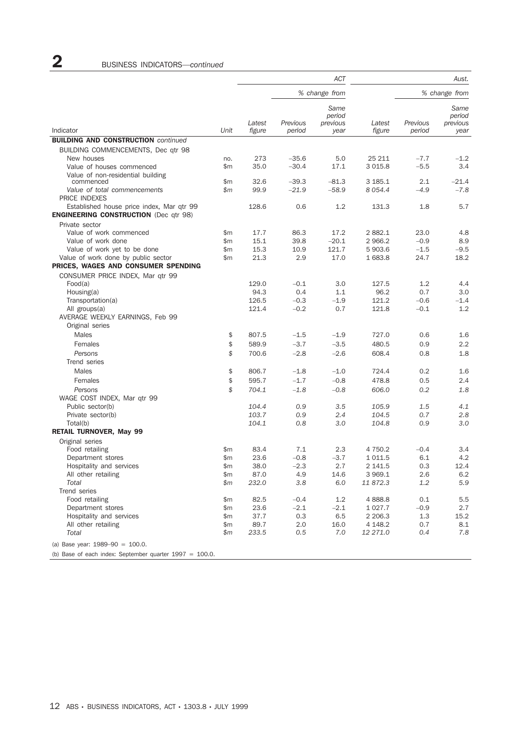# 2 BUSINESS INDICATORS—*continued*

|                                                                                                  |       |                  |                    | <b>ACT</b>                         |                  |                    | Aust.                              |
|--------------------------------------------------------------------------------------------------|-------|------------------|--------------------|------------------------------------|------------------|--------------------|------------------------------------|
|                                                                                                  |       |                  |                    | % change from                      |                  |                    | % change from                      |
| Indicator                                                                                        | Unit  | Latest<br>figure | Previous<br>period | Same<br>period<br>previous<br>year | Latest<br>figure | Previous<br>period | Same<br>period<br>previous<br>year |
| <b>BUILDING AND CONSTRUCTION</b> continued                                                       |       |                  |                    |                                    |                  |                    |                                    |
| BUILDING COMMENCEMENTS, Dec qtr 98                                                               |       |                  |                    |                                    |                  |                    |                                    |
| New houses                                                                                       | no.   | 273              | $-35.6$            | 5.0                                | 25 211           | $-7.7$             | $-1.2$                             |
| Value of houses commenced                                                                        | \$m\$ | 35.0             | $-30.4$            | 17.1                               | 3 0 1 5.8        | $-5.5$             | 3.4                                |
| Value of non-residential building                                                                |       |                  |                    |                                    |                  |                    |                                    |
| commenced                                                                                        | \$m   | 32.6             | $-39.3$            | $-81.3$                            | 3 185.1          | 2.1                | $-21.4$                            |
| Value of total commencements<br>PRICE INDEXES                                                    | \$m\$ | 99.9             | $-21.9$            | $-58.9$                            | 8 0 5 4.4        | $-4.9$             | $-7.8$                             |
| Established house price index, Mar qtr 99<br><b>ENGINEERING CONSTRUCTION (Dec qtr 98)</b>        |       | 128.6            | 0.6                | 1.2                                | 131.3            | 1.8                | 5.7                                |
| Private sector                                                                                   |       |                  |                    |                                    |                  |                    |                                    |
| Value of work commenced                                                                          | \$m   | 17.7             | 86.3               | 17.2                               | 2882.1           | 23.0               | 4.8                                |
| Value of work done                                                                               | \$m   | 15.1             | 39.8               | $-20.1$                            | 2 966.2          | $-0.9$             | 8.9                                |
| Value of work yet to be done                                                                     | \$m   | 15.3             | 10.9               | 121.7                              | 5 903.6          | $-1.5$             | $-9.5$                             |
| Value of work done by public sector<br>PRICES, WAGES AND CONSUMER SPENDING                       | \$m   | 21.3             | 2.9                | 17.0                               | 1 683.8          | 24.7               | 18.2                               |
| CONSUMER PRICE INDEX, Mar qtr 99                                                                 |       |                  |                    |                                    |                  |                    |                                    |
| Food(a)                                                                                          |       | 129.0            | $-0.1$             | 3.0                                | 127.5            | 1.2                | 4.4                                |
| Housing(a)                                                                                       |       | 94.3             | 0.4                | 1.1                                | 96.2             | 0.7                | 3.0                                |
| Transportation(a)                                                                                |       | 126.5            | $-0.3$             | $-1.9$                             | 121.2            | $-0.6$             | $-1.4$                             |
| All groups(a)                                                                                    |       | 121.4            | $-0.2$             | 0.7                                | 121.8            | $-0.1$             | 1.2                                |
| AVERAGE WEEKLY EARNINGS, Feb 99<br>Original series                                               |       |                  |                    |                                    |                  |                    |                                    |
| Males                                                                                            | \$    | 807.5            | $-1.5$             | $-1.9$                             | 727.0            | 0.6                | 1.6                                |
| Females                                                                                          | \$    | 589.9            | $-3.7$             | $-3.5$                             | 480.5            | 0.9                | 2.2                                |
| Persons                                                                                          | \$    | 700.6            | $-2.8$             | $-2.6$                             | 608.4            | 0.8                | 1.8                                |
| Trend series                                                                                     |       |                  |                    |                                    |                  |                    |                                    |
| Males                                                                                            | \$    | 806.7            | $-1.8$             | $-1.0$                             | 724.4            | 0.2                | 1.6                                |
| Females                                                                                          | \$    | 595.7            | $-1.7$             | $-0.8$                             | 478.8            | 0.5                | 2.4                                |
|                                                                                                  | \$    |                  |                    |                                    |                  |                    |                                    |
| Persons<br>WAGE COST INDEX, Mar qtr 99                                                           |       | 704.1            | $-1.8$             | $-0.8$                             | 606.0            | 0.2                | 1.8                                |
| Public sector(b)                                                                                 |       | 104.4            | 0.9                | 3.5                                | 105.9            | 1.5                | 4.1                                |
| Private sector(b)                                                                                |       | 103.7            | 0.9                | 2.4                                | 104.5            | 0.7                | 2.8                                |
| Total(b)                                                                                         |       | 104.1            | 0.8                | 3.0                                | 104.8            | 0.9                | 3.0                                |
| <b>RETAIL TURNOVER, May 99</b>                                                                   |       |                  |                    |                                    |                  |                    |                                    |
| Original series                                                                                  |       |                  |                    |                                    |                  |                    |                                    |
| Food retailing                                                                                   | \$m   | 83.4             | 7.1                | 2.3                                | 4 7 5 0.2        | $-0.4$             | 3.4                                |
| Department stores                                                                                | \$m   | 23.6             | $-0.8$             | $-3.7$                             | 1 0 1 1.5        | 6.1                | 4.2                                |
| Hospitality and services                                                                         | $$m$$ | 38.0             | $-2.3$             | 2.7                                | 2 141.5          | $0.3\,$            | 12.4                               |
| All other retailing                                                                              | \$m   | 87.0             | 4.9                | 14.6                               | 3 969.1          | 2.6                | 6.2                                |
| Total                                                                                            | \$m   | 232.0            | 3.8                | 6.0                                | 11872.3          | 1.2                | 5.9                                |
| Trend series                                                                                     |       |                  |                    |                                    |                  |                    |                                    |
| Food retailing                                                                                   | \$m   | 82.5             | $-0.4$             | 1.2                                | 4 8 8 8.8        | 0.1                | 5.5                                |
| Department stores                                                                                | \$m   | 23.6             | $-2.1$             | $-2.1$                             | 1 0 2 7 . 7      | $-0.9$             | 2.7                                |
| Hospitality and services                                                                         | \$m   | 37.7             | 0.3                | 6.5                                | 2 2 0 6.3        | 1.3                | 15.2                               |
| All other retailing                                                                              | \$m   | 89.7             | 2.0                | 16.0                               | 4 1 4 8.2        | 0.7                | 8.1                                |
| Total                                                                                            | \$m   | 233.5            | 0.5                | 7.0                                | 12 271.0         | 0.4                | 7.8                                |
| (a) Base year: $1989-90 = 100.0$ .<br>(b) Base of each index: September quarter $1997 = 100.0$ . |       |                  |                    |                                    |                  |                    |                                    |
|                                                                                                  |       |                  |                    |                                    |                  |                    |                                    |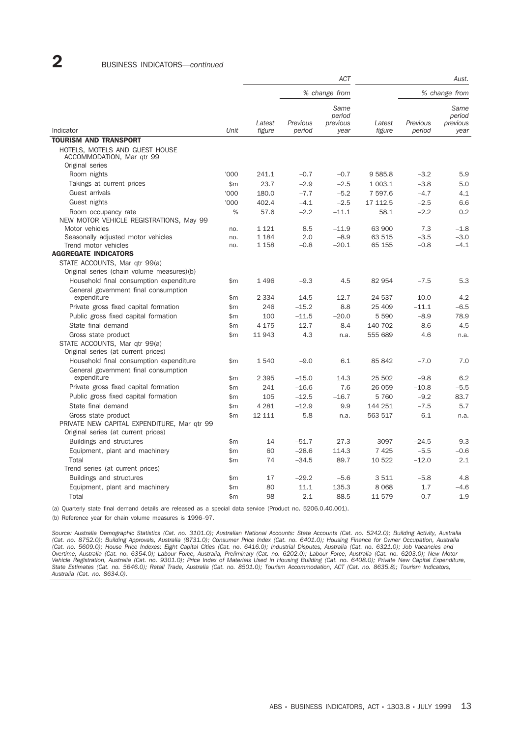## 2 BUSINESS INDICATORS—*continued*

|                                                                                |              |                    |                    | ACT                                |                  |                    | Aust.                              |
|--------------------------------------------------------------------------------|--------------|--------------------|--------------------|------------------------------------|------------------|--------------------|------------------------------------|
|                                                                                |              |                    | % change from      |                                    |                  |                    | % change from                      |
| Indicator                                                                      | Unit         | Latest<br>figure   | Previous<br>period | Same<br>period<br>previous<br>year | Latest<br>figure | Previous<br>period | Same<br>period<br>previous<br>year |
| <b>TOURISM AND TRANSPORT</b>                                                   |              |                    |                    |                                    |                  |                    |                                    |
| HOTELS, MOTELS AND GUEST HOUSE<br>ACCOMMODATION, Mar qtr 99<br>Original series |              |                    |                    |                                    |                  |                    |                                    |
| Room nights                                                                    | '000         | 241.1              | $-0.7$             |                                    | 9585.8           | $-3.2$             | 5.9                                |
|                                                                                |              |                    |                    | $-0.7$                             |                  |                    |                                    |
| Takings at current prices                                                      | \$m          | 23.7               | $-2.9$             | $-2.5$                             | 1 003.1          | $-3.8$             | 5.0                                |
| Guest arrivals                                                                 | '000         | 180.0              | $-7.7$             | $-5.2$                             | 7 597.6          | $-4.7$             | 4.1                                |
| Guest nights                                                                   | '000         | 402.4              | $-4.1$             | $-2.5$                             | 17 112.5         | $-2.5$             | 6.6                                |
| Room occupancy rate                                                            | %            | 57.6               | $-2.2$             | $-11.1$                            | 58.1             | $-2.2$             | 0.2                                |
| NEW MOTOR VEHICLE REGISTRATIONS, May 99                                        |              |                    |                    |                                    |                  |                    |                                    |
| Motor vehicles                                                                 | no.          | 1 1 2 1<br>1 1 8 4 | 8.5<br>2.0         | $-11.9$<br>$-8.9$                  | 63 900<br>63 515 | 7.3<br>$-3.5$      | $-1.8$<br>$-3.0$                   |
| Seasonally adjusted motor vehicles<br>Trend motor vehicles                     | no.<br>no.   | 1 1 5 8            | $-0.8$             | $-20.1$                            | 65 155           | $-0.8$             | $-4.1$                             |
| <b>AGGREGATE INDICATORS</b>                                                    |              |                    |                    |                                    |                  |                    |                                    |
| STATE ACCOUNTS, Mar qtr 99(a)                                                  |              |                    |                    |                                    |                  |                    |                                    |
| Original series (chain volume measures)(b)                                     |              |                    |                    |                                    |                  |                    |                                    |
| Household final consumption expenditure                                        | \$m          | 1496               | $-9.3$             | 4.5                                | 82 954           | $-7.5$             | 5.3                                |
| General government final consumption                                           |              |                    |                    |                                    |                  |                    |                                    |
| expenditure                                                                    | \$m          | 2 3 3 4            | $-14.5$            | 12.7                               | 24 537           | $-10.0$            | 4.2                                |
| Private gross fixed capital formation                                          | \$m          | 246                | $-15.2$            | 8.8                                | 25 409           | $-11.1$            | $-6.5$                             |
| Public gross fixed capital formation                                           | $\mathsf{m}$ | 100                | $-11.5$            | $-20.0$                            | 5 5 9 0          | $-8.9$             | 78.9                               |
| State final demand                                                             | \$m          | 4 1 7 5            | $-12.7$            | 8.4                                | 140 702          | $-8.6$             | 4.5                                |
| Gross state product                                                            | \$m\$        | 11943              | 4.3                | n.a.                               | 555 689          | 4.6                | n.a.                               |
| STATE ACCOUNTS, Mar qtr 99(a)                                                  |              |                    |                    |                                    |                  |                    |                                    |
| Original series (at current prices)                                            |              |                    |                    |                                    |                  |                    |                                    |
| Household final consumption expenditure                                        | \$m          | 1540               | $-9.0$             | 6.1                                | 85 842           | $-7.0$             | 7.0                                |
| General government final consumption                                           |              |                    |                    |                                    |                  |                    |                                    |
| expenditure                                                                    | \$m          | 2 3 9 5            | $-15.0$            | 14.3                               | 25 502           | $-9.8$             | 6.2                                |
| Private gross fixed capital formation                                          | $\mathsf{m}$ | 241                | $-16.6$            | 7.6                                | 26 059           | $-10.8$            | $-5.5$                             |
| Public gross fixed capital formation                                           | \$m          | 105                | $-12.5$            | $-16.7$                            | 5 7 6 0          | $-9.2$             | 83.7                               |
| State final demand                                                             | \$m          | 4 2 8 1            | $-12.9$            | 9.9                                | 144 251          | $-7.5$             | 5.7                                |
| Gross state product                                                            | \$m          | 12 111             | 5.8                | n.a.                               | 563 517          | 6.1                | n.a.                               |
| PRIVATE NEW CAPITAL EXPENDITURE, Mar gtr 99                                    |              |                    |                    |                                    |                  |                    |                                    |
| Original series (at current prices)                                            |              |                    |                    |                                    |                  |                    |                                    |
| Buildings and structures                                                       | \$m          | 14                 | $-51.7$            | 27.3                               | 3097             | $-24.5$            | 9.3                                |
| Equipment, plant and machinery                                                 | \$m          | 60                 | $-28.6$            | 114.3                              | 7 4 2 5          | $-5.5$             | $-0.6$                             |
| Total                                                                          | \$m          | 74                 | $-34.5$            | 89.7                               | 10 522           | $-12.0$            | 2.1                                |
| Trend series (at current prices)                                               |              |                    |                    |                                    |                  |                    |                                    |
| Buildings and structures                                                       | \$m          | 17                 | $-29.2$            | $-5.6$                             | 3511             | $-5.8$             | 4.8                                |
| Equipment, plant and machinery                                                 | \$m          | 80                 | 11.1               | 135.3                              | 8 0 6 8          | 1.7                | $-4.6$                             |
| Total                                                                          | \$m          | 98                 | 2.1                | 88.5                               | 11 579           | $-0.7$             | $-1.9$                             |

(a) Quarterly state final demand details are released as a special data service (Product no. 5206.0.40.001).

(b) Reference year for chain volume measures is 1996–97.

Source: Australia Demographic Statistics (Cat. no. 3101.0); Australian National Accounts: State Accounts (Cat. no. 5242.0); Building Activity, Australia (Cat. no. 8752.0); Building Approvals, Australia (8731.0); Consumer P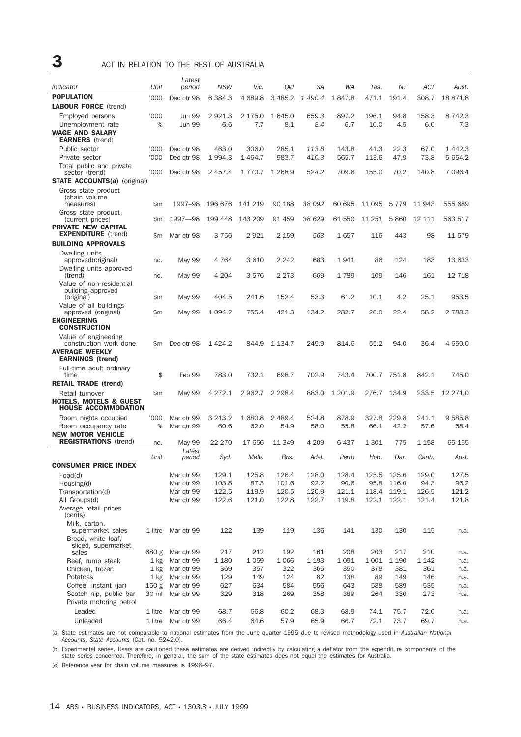**3** ACT IN RELATION TO THE REST OF AUSTRALIA

|                                                                 |                  | Latest                   |                |               |                |               |               |             |                      |               |               |
|-----------------------------------------------------------------|------------------|--------------------------|----------------|---------------|----------------|---------------|---------------|-------------|----------------------|---------------|---------------|
| Indicator                                                       | Unit             | period                   | <b>NSW</b>     | Vic.          | Qld            | SА            | WA            | Tas.        | ΝT                   | ACT           | Aust.         |
| <b>POPULATION</b>                                               | '000             | Dec qtr 98               | 6 3 8 4 . 3    | 4689.8        | 3 4 8 5.2      | 1 490.4       | 1847.8        | 471.1       | 191.4                | 308.7         | 18871.8       |
| <b>LABOUR FORCE</b> (trend)                                     |                  |                          |                |               |                |               |               |             |                      |               |               |
| Employed persons                                                | '000             | <b>Jun 99</b>            | 2921.3         | 2 175.0       | 1 645.0        | 659.3         | 897.2         | 196.1       | 94.8                 | 158.3         | 8742.3        |
| Unemployment rate                                               | %                | <b>Jun 99</b>            | 6.6            | 7.7           | 8.1            | 8.4           | 6.7           | 10.0        | 4.5                  | 6.0           | 7.3           |
| <b>WAGE AND SALARY</b><br><b>EARNERS</b> (trend)                |                  |                          |                |               |                |               |               |             |                      |               |               |
| Public sector                                                   | '000             | Dec qtr 98               | 463.0          | 306.0         | 285.1          | 113.8         | 143.8         | 41.3        | 22.3                 | 67.0          | 1442.3        |
| Private sector                                                  | '000             | Dec qtr 98               | 1994.3         | 1464.7        | 983.7          | 410.3         | 565.7         | 113.6       | 47.9                 | 73.8          | 5 6 5 4.2     |
| Total public and private                                        |                  |                          |                |               |                |               |               |             |                      |               |               |
| sector (trend)                                                  | '000             | Dec qtr 98               | 2 457.4        | 1 770.7       | 1 2 6 8.9      | 524.2         | 709.6         | 155.0       | 70.2                 | 140.8         | 7 0 9 6.4     |
| <b>STATE ACCOUNTS(a)</b> (original)                             |                  |                          |                |               |                |               |               |             |                      |               |               |
| Gross state product<br>(chain volume                            |                  |                          |                |               |                |               |               |             |                      |               |               |
| measures)                                                       | \$m              | 1997-98                  | 196 676        | 141 219       | 90 188         | 38 092        | 60 695        | 11 0 95     | 5 7 7 9              | 11 943        | 555 689       |
| Gross state product                                             |                  |                          |                |               |                |               |               |             |                      |               |               |
| (current prices)                                                | \$m              | 1997-98                  | 199 448        | 143 209       | 91 459         | 38 629        | 61 550        | 11 251      | 5860                 | 12 111        | 563 517       |
| <b>PRIVATE NEW CAPITAL</b>                                      |                  |                          |                |               |                |               |               |             |                      |               |               |
| <b>EXPENDITURE</b> (trend)                                      | \$m              | Mar qtr 98               | 3756           | 2921          | 2 159          | 563           | 1657          | 116         | 443                  | 98            | 11 579        |
| <b>BUILDING APPROVALS</b>                                       |                  |                          |                |               |                |               |               |             |                      |               |               |
| Dwelling units<br>approved(original)                            | no.              | May 99                   | 4 7 6 4        | 3 610         | 2 242          | 683           | 1 941         | 86          | 124                  | 183           | 13 633        |
| Dwelling units approved                                         |                  |                          |                |               |                |               |               |             |                      |               |               |
| (trend)                                                         | no.              | <b>May 99</b>            | 4 2 0 4        | 3576          | 2 2 7 3        | 669           | 1789          | 109         | 146                  | 161           | 12 718        |
| Value of non-residential                                        |                  |                          |                |               |                |               |               |             |                      |               |               |
| building approved<br>(original)                                 | \$m              | May 99                   | 404.5          | 241.6         | 152.4          | 53.3          | 61.2          | 10.1        | 4.2                  | 25.1          | 953.5         |
| Value of all buildings                                          |                  |                          |                |               |                |               |               |             |                      |               |               |
| approved (original)                                             | \$m              | May 99                   | 1 0 9 4.2      | 755.4         | 421.3          | 134.2         | 282.7         | 20.0        | 22.4                 | 58.2          | 2 788.3       |
| <b>ENGINEERING</b>                                              |                  |                          |                |               |                |               |               |             |                      |               |               |
| <b>CONSTRUCTION</b>                                             |                  |                          |                |               |                |               |               |             |                      |               |               |
| Value of engineering<br>construction work done                  | \$m              | Dec qtr 98               | 1424.2         | 844.9         | 1 1 3 4 . 7    | 245.9         | 814.6         | 55.2        | 94.0                 | 36.4          | 4 650.0       |
| <b>AVERAGE WEEKLY</b>                                           |                  |                          |                |               |                |               |               |             |                      |               |               |
| <b>EARNINGS (trend)</b>                                         |                  |                          |                |               |                |               |               |             |                      |               |               |
| Full-time adult ordinary                                        |                  |                          |                |               |                |               |               |             |                      |               |               |
| time                                                            | \$               | Feb 99                   | 783.0          | 732.1         | 698.7          | 702.9         | 743.4         | 700.7       | 751.8                | 842.1         | 745.0         |
| <b>RETAIL TRADE (trend)</b>                                     |                  |                          |                |               |                |               |               |             |                      |               |               |
| Retail turnover                                                 | \$m              | <b>May 99</b>            | 4 272.1        | 2 962.7       | 2 2 9 8.4      | 883.0         | 1 201.9       | 276.7       | 134.9                | 233.5         | 12 271.0      |
| <b>HOTELS, MOTELS &amp; GUEST</b><br><b>HOUSE ACCOMMODATION</b> |                  |                          |                |               |                |               |               |             |                      |               |               |
| Room nights occupied                                            | '000             | Mar qtr 99               | 3 2 1 3 . 2    | 1680.8        | 2 489.4        | 524.8         | 878.9         | 327.8       | 229.8                | 241.1         | 9 585.8       |
| Room occupancy rate                                             | %                | Mar qtr 99               | 60.6           | 62.0          | 54.9           | 58.0          | 55.8          | 66.1        | 42.2                 | 57.6          | 58.4          |
| <b>NEW MOTOR VEHICLE</b>                                        |                  |                          |                |               |                |               |               |             |                      |               |               |
| <b>REGISTRATIONS</b> (trend)                                    | no.              | May 99                   | 22 270         | 17 656        | 11 349         | 4 209         | 6 437         | 1 301       | 775                  | 1 158         | 65 155        |
|                                                                 |                  | Latest                   |                |               |                |               |               |             |                      |               |               |
| <b>CONSUMER PRICE INDEX</b>                                     | Unit             | period                   | Syd.           | Melb.         | Bris.          | Adel.         | Perth         | Hob.        | Dar.                 | Canb.         | Aust.         |
|                                                                 |                  |                          |                |               |                |               |               |             |                      |               |               |
| Food(d)<br>Housing(d)                                           |                  | Mar qtr 99<br>Mar qtr 99 | 129.1<br>103.8 | 125.8<br>87.3 | 126.4<br>101.6 | 128.0<br>92.2 | 128.4<br>90.6 | 95.8        | 125.5 125.6<br>116.0 | 129.0<br>94.3 | 127.5<br>96.2 |
| Transportation(d)                                               |                  | Mar qtr 99               | 122.5          | 119.9         | 120.5          | 120.9         | 121.1         | 118.4 119.1 |                      | 126.5         | 121.2         |
| All Groups(d)                                                   |                  | Mar qtr 99               | 122.6          | 121.0         | 122.8          | 122.7         | 119.8         |             | 122.1 122.1          | 121.4         | 121.8         |
| Average retail prices                                           |                  |                          |                |               |                |               |               |             |                      |               |               |
| (cents)                                                         |                  |                          |                |               |                |               |               |             |                      |               |               |
| Milk, carton,                                                   |                  |                          |                |               |                |               |               |             |                      |               |               |
| supermarket sales<br>Bread, white loaf,                         | 1 litre          | Mar gtr 99               | 122            | 139           | 119            | 136           | 141           | 130         | 130                  | 115           | n.a.          |
| sliced, supermarket                                             |                  |                          |                |               |                |               |               |             |                      |               |               |
| sales                                                           | 680 g            | Mar qtr 99               | 217            | 212           | 192            | 161           | 208           | 203         | 217                  | 210           | n.a.          |
| Beef, rump steak                                                | $1$ kg           | Mar qtr 99               | 1 1 8 0        | 1 0 5 9       | 1 0 6 6        | 1 1 9 3       | 1 0 9 1       | 1 0 0 1     | 1 1 9 0              | 1 1 4 2       | n.a.          |
| Chicken, frozen                                                 | 1 kg             | Mar qtr 99               | 369            | 357           | 322            | 365           | 350           | 378         | 381                  | 361           | n.a.          |
| Potatoes                                                        | $1$ kg           | Mar qtr 99               | 129            | 149           | 124            | 82            | 138           | 89          | 149                  | 146           | n.a.          |
| Coffee, instant (jar)                                           | 150 <sub>g</sub> | Mar qtr 99               | 627            | 634           | 584            | 556           | 643           | 588         | 589                  | 535           | n.a.          |
| Scotch nip, public bar<br>Private motoring petrol               | 30 ml            | Mar qtr 99               | 329            | 318           | 269            | 358           | 389           | 264         | 330                  | 273           | n.a.          |
| Leaded                                                          | 1 litre          | Mar qtr 99               | 68.7           | 66.8          | 60.2           | 68.3          | 68.9          | 74.1        | 75.7                 | 72.0          | n.a.          |
| Unleaded                                                        | 1 litre          | Mar qtr 99               | 66.4           | 64.6          | 57.9           | 65.9          | 66.7          | 72.1        | 73.7                 | 69.7          | n.a.          |
|                                                                 |                  |                          |                |               |                |               |               |             |                      |               |               |

(a) State estimates are not comparable to national estimates from the June quarter 1995 due to revised methodology used in *Australian National Accounts, State Accounts* (Cat. no. 5242.0).

(b) Experimental series. Users are cautioned these estimates are derived indirectly by calculating a deflator from the expenditure components of the state series concerned. Therefore, in general, the sum of the state estimates does not equal the estimates for Australia.

(c) Reference year for chain volume measures is 1996–97.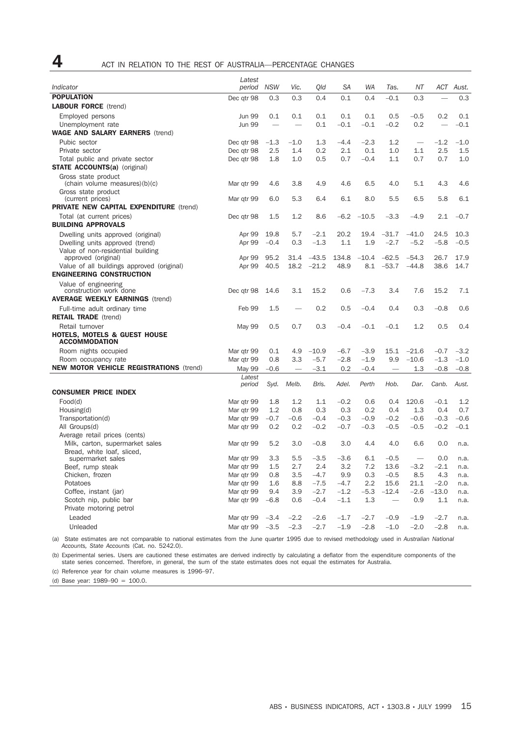| 4<br>ACT IN RELATION TO THE REST OF AUSTRALIA-PERCENTAGE CHANGES |  |
|------------------------------------------------------------------|--|
|------------------------------------------------------------------|--|

|                                                      | Latest                   |            |            |                  |               |            |                |                   |               |              |
|------------------------------------------------------|--------------------------|------------|------------|------------------|---------------|------------|----------------|-------------------|---------------|--------------|
| Indicator                                            | period                   | <b>NSW</b> | Vic.       | Old              | SA            | WA         | Tas.           | NΤ                | ACT           | Aust.        |
| <b>POPULATION</b>                                    | Dec qtr 98               | 0.3        | 0.3        | 0.4              | 0.1           | 0.4        | $-0.1$         | 0.3               |               | 0.3          |
| <b>LABOUR FORCE</b> (trend)                          |                          |            |            |                  |               |            |                |                   |               |              |
| Employed persons                                     | <b>Jun 99</b>            | 0.1        | 0.1        | 0.1              | 0.1           | 0.1        | 0.5            | $-0.5$            | 0.2           | 0.1          |
| Unemployment rate                                    | <b>Jun 99</b>            |            |            | 0.1              | $-0.1$        | $-0.1$     | $-0.2$         | 0.2               |               | $-0.1$       |
| <b>WAGE AND SALARY EARNERS</b> (trend)               |                          |            |            |                  |               |            |                |                   |               |              |
| Pubic sector                                         | Dec gtr 98               | $-1.3$     | $-1.0$     | 1.3              | $-4.4$        | $-2.3$     | 1.2            | $\qquad \qquad -$ | $-1.2$        | $-1.0$       |
| Private sector                                       | Dec qtr 98               | 2.5        | 1.4        | 0.2              | 2.1           | 0.1        | 1.0            | 1.1               | 2.5           | 1.5          |
| Total public and private sector                      | Dec qtr 98               | 1.8        | 1.0        | 0.5              | 0.7           | $-0.4$     | 1.1            | 0.7               | 0.7           | 1.0          |
| <b>STATE ACCOUNTS(a)</b> (original)                  |                          |            |            |                  |               |            |                |                   |               |              |
| Gross state product                                  |                          | 4.6        | 3.8        | 4.9              | 4.6           | 6.5        | 4.0            | 5.1               | 4.3           | 4.6          |
| (chain volume measures)(b)(c)<br>Gross state product | Mar qtr 99               |            |            |                  |               |            |                |                   |               |              |
| (current prices)                                     | Mar qtr 99               | 6.0        | 5.3        | 6.4              | 6.1           | 8.0        | 5.5            | 6.5               | 5.8           | 6.1          |
| <b>PRIVATE NEW CAPITAL EXPENDITURE (trend)</b>       |                          |            |            |                  |               |            |                |                   |               |              |
| Total (at current prices)                            | Dec qtr 98               | 1.5        | 1.2        | 8.6              | $-6.2$        | $-10.5$    | $-3.3$         | $-4.9$            | 2.1           | $-0.7$       |
| <b>BUILDING APPROVALS</b>                            |                          |            |            |                  |               |            |                |                   |               |              |
| Dwelling units approved (original)                   | Apr 99                   | 19.8       | 5.7        | $-2.1$           | 20.2          | 19.4       | $-31.7$        | -41.0             | 24.5          | 10.3         |
| Dwelling units approved (trend)                      | Apr 99                   | $-0.4$     | 0.3        | $-1.3$           | 1.1           | 1.9        | $-2.7$         | $-5.2$            | $-5.8$        | $-0.5$       |
| Value of non-residential building                    |                          |            |            |                  |               |            |                |                   |               |              |
| approved (original)                                  | Apr 99                   | 95.2       | 31.4       | $-43.5$          | 134.8         | $-10.4$    | $-62.5$        | $-54.3$           | 26.7          | 17.9         |
| Value of all buildings approved (original)           | Apr 99                   | 40.5       | 18.2       | $-21.2$          | 48.9          | 8.1        | $-53.7$        | $-44.8$           | 38.6          | 14.7         |
| <b>ENGINEERING CONSTRUCTION</b>                      |                          |            |            |                  |               |            |                |                   |               |              |
| Value of engineering<br>construction work done       | Dec atr 98               | 14.6       | 3.1        | 15.2             | 0.6           | $-7.3$     | 3.4            | 7.6               | 15.2          | 7.1          |
| <b>AVERAGE WEEKLY EARNINGS (trend)</b>               |                          |            |            |                  |               |            |                |                   |               |              |
| Full-time adult ordinary time                        | Feb 99                   | 1.5        |            | 0.2              | 0.5           | $-0.4$     | 0.4            | 0.3               | $-0.8$        | 0.6          |
| <b>RETAIL TRADE</b> (trend)                          |                          |            |            |                  |               |            |                |                   |               |              |
| Retail turnover                                      | May 99                   | 0.5        | 0.7        | 0.3              | $-0.4$        | $-0.1$     | $-0.1$         | 1.2               | 0.5           | 0.4          |
| <b>HOTELS, MOTELS &amp; GUEST HOUSE</b>              |                          |            |            |                  |               |            |                |                   |               |              |
| <b>ACCOMMODATION</b>                                 |                          |            |            |                  |               |            |                |                   |               |              |
| Room nights occupied                                 | Mar qtr 99               | 0.1        | 4.9        | $-10.9$          | $-6.7$        | $-3.9$     | 15.1           | $-21.6$           | $-0.7$        | $-3.2$       |
| Room occupancy rate                                  | Mar qtr 99               | 0.8        | 3.3        | $-5.7$           | $-2.8$        | $-1.9$     | 9.9            | $-10.6$           | $-1.3$        | $-1.0$       |
| <b>NEW MOTOR VEHICLE REGISTRATIONS (trend)</b>       | May 99                   | $-0.6$     |            | $-3.1$           | 0.2           | $-0.4$     |                | 1.3               | $-0.8$        | $-0.8$       |
|                                                      | Latest<br>period         | Syd.       | Melb.      | Bris.            | Adel.         | Perth      | Hob.           | Dar.              | Canb.         | Aust.        |
| <b>CONSUMER PRICE INDEX</b>                          |                          |            |            |                  |               |            |                |                   |               |              |
| Food(d)                                              | Mar qtr 99               | 1.8        | 1.2        | 1.1              | $-0.2$        | 0.6        | 0.4            | 120.6             | $-0.1$        | 1.2          |
| Housing(d)                                           | Mar qtr 99               | 1.2        | 0.8        | 0.3              | 0.3           | 0.2        | 0.4            | 1.3               | 0.4           | 0.7          |
| Transportation(d)                                    | Mar qtr 99               | $-0.7$     | $-0.6$     | $-0.4$           | $-0.3$        | $-0.9$     | $-0.2$         | $-0.6$            | $-0.3$        | $-0.6$       |
| All Groups(d)                                        | Mar qtr 99               | 0.2        | 0.2        | $-0.2$           | $-0.7$        | $-0.3$     | $-0.5$         | $-0.5$            | $-0.2$        | $-0.1$       |
| Average retail prices (cents)                        |                          |            |            |                  |               |            |                |                   |               |              |
| Milk, carton, supermarket sales                      | Mar qtr 99               | 5.2        | 3.0        | $-0.8$           | 3.0           | 4.4        | 4.0            | 6.6               | 0.0           | n.a.         |
| Bread, white loaf, sliced,                           |                          |            |            |                  |               |            |                |                   |               |              |
| supermarket sales                                    | Mar qtr 99               | 3.3        | 5.5        | $-3.5$           | $-3.6$        | 6.1        | $-0.5$         | $\frac{1}{2}$     | 0.0           | n.a.         |
| Beef, rump steak                                     | Mar qtr 99               | 1.5        | 2.7        | 2.4              | 3.2           | 7.2        | 13.6           | $-3.2$            | $-2.1$        | n.a.         |
| Chicken, frozen<br>Potatoes                          | Mar gtr 99<br>Mar qtr 99 | 0.8<br>1.6 | 3.5<br>8.8 | $-4.7$<br>$-7.5$ | 9.9<br>$-4.7$ | 0.3<br>2.2 | $-0.5$<br>15.6 | 8.5<br>21.1       | 4.3<br>$-2.0$ | n.a.<br>n.a. |
| Coffee, instant (jar)                                | Mar qtr 99               | 9.4        | 3.9        | $-2.7$           | $-1.2$        | $-5.3$     | $-12.4$        | $-2.6$            | $-13.0$       | n.a.         |
| Scotch nip, public bar                               | Mar qtr 99               | $-6.8$     | 0.6        | $-0.4$           | $-1.1$        | 1.3        |                | 0.9               | 1.1           | n.a.         |
| Private motoring petrol                              |                          |            |            |                  |               |            |                |                   |               |              |
| Leaded                                               | Mar qtr 99               | $-3.4$     | $-2.2$     | $-2.6$           | $-1.7$        | $-2.7$     | $-0.9$         | $-1.9$            | $-2.7$        | n.a.         |
| Unleaded                                             | Mar qtr 99               | $-3.5$     | $-2.3$     | $-2.7$           | $-1.9$        | $-2.8$     | $-1.0$         | $-2.0$            | $-2.8$        | n.a.         |
|                                                      |                          |            |            |                  |               |            |                |                   |               |              |

(a) State estimates are not comparable to national estimates from the June quarter 1995 due to revised methodology used in *Australian National Accounts, State Accounts* (Cat. no. 5242.0).

(b) Experimental series. Users are cautioned these estimates are derived indirectly by calculating a deflator from the expenditure components of the state series concerned. Therefore, in general, the sum of the state estimates does not equal the estimates for Australia.

(c) Reference year for chain volume measures is 1996–97.

(d) Base year: 1989–90 = 100.0.